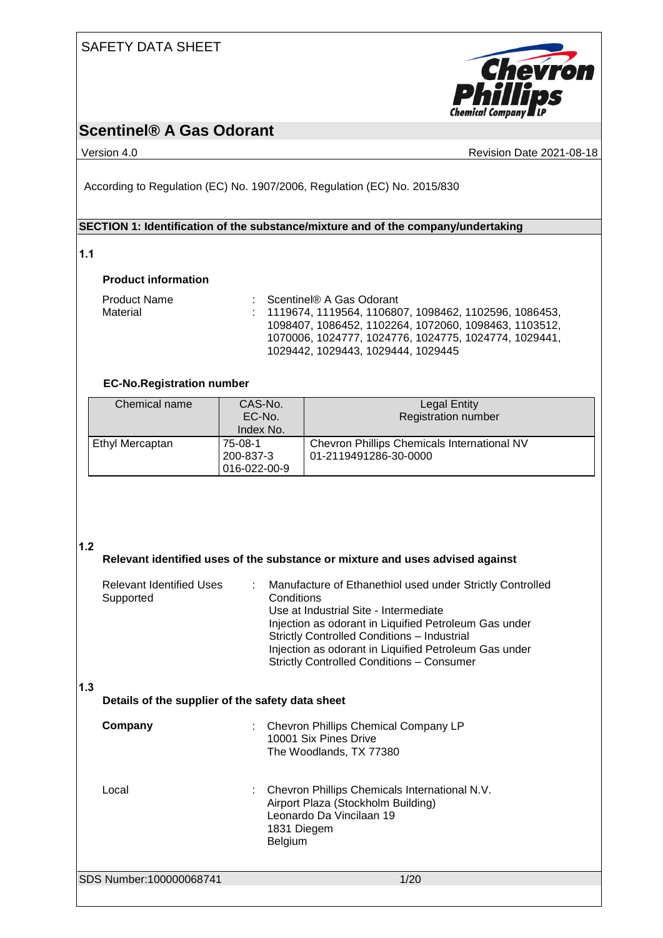## SAFETY DATA SHEET



## **Scentinel® A Gas Odorant**

Version 4.0 Revision Date 2021-08-18

According to Regulation (EC) No. 1907/2006, Regulation (EC) No. 2015/830

## **SECTION 1: Identification of the substance/mixture and of the company/undertaking**

## **1.1**

## **Product information**

| <b>Product Name</b> | $\therefore$ Scentinel® A Gas Odorant                     |
|---------------------|-----------------------------------------------------------|
| Material            | $: 1119674, 1119564, 1106807, 1098462, 1102596, 1086453,$ |
|                     | 1098407, 1086452, 1102264, 1072060, 1098463, 1103512,     |
|                     | 1070006, 1024777, 1024776, 1024775, 1024774, 1029441,     |
|                     | 1029442. 1029443. 1029444. 1029445                        |

## **EC-No.Registration number**

| Chemical name   | CAS-No.<br>EC-No.<br>Index No.       | <b>Legal Entity</b><br><b>Registration number</b>                           |
|-----------------|--------------------------------------|-----------------------------------------------------------------------------|
| Ethyl Mercaptan | 75-08-1<br>200-837-3<br>016-022-00-9 | <b>Chevron Phillips Chemicals International NV</b><br>01-2119491286-30-0000 |

## **1.2**

| 1.2 |                                                                               |                                                                                                                                                                                                                                                                                                                                              |  |  |  |
|-----|-------------------------------------------------------------------------------|----------------------------------------------------------------------------------------------------------------------------------------------------------------------------------------------------------------------------------------------------------------------------------------------------------------------------------------------|--|--|--|
|     | Relevant identified uses of the substance or mixture and uses advised against |                                                                                                                                                                                                                                                                                                                                              |  |  |  |
|     | <b>Relevant Identified Uses</b><br>÷<br>Supported                             | Manufacture of Ethanethiol used under Strictly Controlled<br>Conditions<br>Use at Industrial Site - Intermediate<br>Injection as odorant in Liquified Petroleum Gas under<br><b>Strictly Controlled Conditions - Industrial</b><br>Injection as odorant in Liquified Petroleum Gas under<br><b>Strictly Controlled Conditions - Consumer</b> |  |  |  |
| 1.3 | Details of the supplier of the safety data sheet                              |                                                                                                                                                                                                                                                                                                                                              |  |  |  |
|     | Company                                                                       | Chevron Phillips Chemical Company LP<br>10001 Six Pines Drive<br>The Woodlands, TX 77380                                                                                                                                                                                                                                                     |  |  |  |
|     | Local                                                                         | Chevron Phillips Chemicals International N.V.<br>Airport Plaza (Stockholm Building)<br>Leonardo Da Vincilaan 19<br>1831 Diegem<br>Belgium                                                                                                                                                                                                    |  |  |  |
|     | SDS Number:100000068741                                                       | 1/20                                                                                                                                                                                                                                                                                                                                         |  |  |  |
|     |                                                                               |                                                                                                                                                                                                                                                                                                                                              |  |  |  |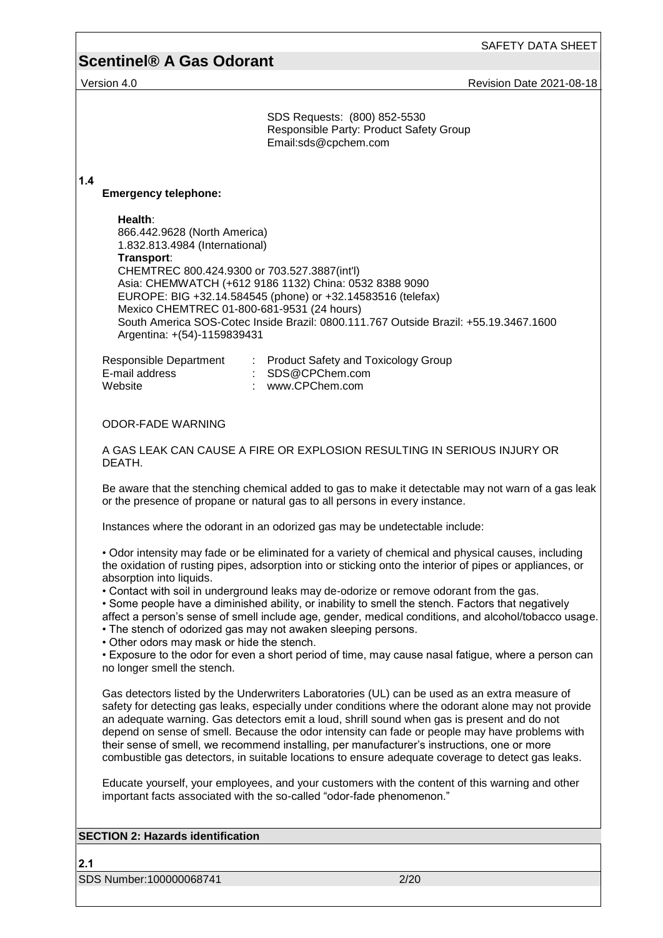SAFETY DATA SHEET

# **Scentinel® A Gas Odorant**

Version 4.0 **Version 4.0 Version 4.0 Revision Date 2021-08-18** 

|     | SDS Requests: (800) 852-5530<br>Responsible Party: Product Safety Group<br>Email:sds@cpchem.com                                                                                                                                                                                                                                                                                                                                                                                                                                                                                                                                                                                                                                                                                                           |
|-----|-----------------------------------------------------------------------------------------------------------------------------------------------------------------------------------------------------------------------------------------------------------------------------------------------------------------------------------------------------------------------------------------------------------------------------------------------------------------------------------------------------------------------------------------------------------------------------------------------------------------------------------------------------------------------------------------------------------------------------------------------------------------------------------------------------------|
| 1.4 | <b>Emergency telephone:</b>                                                                                                                                                                                                                                                                                                                                                                                                                                                                                                                                                                                                                                                                                                                                                                               |
|     | Health:<br>866.442.9628 (North America)<br>1.832.813.4984 (International)<br>Transport:<br>CHEMTREC 800.424.9300 or 703.527.3887(int'l)<br>Asia: CHEMWATCH (+612 9186 1132) China: 0532 8388 9090<br>EUROPE: BIG +32.14.584545 (phone) or +32.14583516 (telefax)<br>Mexico CHEMTREC 01-800-681-9531 (24 hours)<br>South America SOS-Cotec Inside Brazil: 0800.111.767 Outside Brazil: +55.19.3467.1600<br>Argentina: +(54)-1159839431                                                                                                                                                                                                                                                                                                                                                                     |
|     | Responsible Department<br>: Product Safety and Toxicology Group<br>E-mail address<br>SDS@CPChem.com<br>www.CPChem.com<br>Website                                                                                                                                                                                                                                                                                                                                                                                                                                                                                                                                                                                                                                                                          |
|     | <b>ODOR-FADE WARNING</b>                                                                                                                                                                                                                                                                                                                                                                                                                                                                                                                                                                                                                                                                                                                                                                                  |
|     | A GAS LEAK CAN CAUSE A FIRE OR EXPLOSION RESULTING IN SERIOUS INJURY OR<br>DEATH.                                                                                                                                                                                                                                                                                                                                                                                                                                                                                                                                                                                                                                                                                                                         |
|     | Be aware that the stenching chemical added to gas to make it detectable may not warn of a gas leak<br>or the presence of propane or natural gas to all persons in every instance.                                                                                                                                                                                                                                                                                                                                                                                                                                                                                                                                                                                                                         |
|     | Instances where the odorant in an odorized gas may be undetectable include:                                                                                                                                                                                                                                                                                                                                                                                                                                                                                                                                                                                                                                                                                                                               |
|     | • Odor intensity may fade or be eliminated for a variety of chemical and physical causes, including<br>the oxidation of rusting pipes, adsorption into or sticking onto the interior of pipes or appliances, or<br>absorption into liquids.<br>• Contact with soil in underground leaks may de-odorize or remove odorant from the gas.<br>• Some people have a diminished ability, or inability to smell the stench. Factors that negatively<br>affect a person's sense of smell include age, gender, medical conditions, and alcohol/tobacco usage.<br>• The stench of odorized gas may not awaken sleeping persons.<br>• Other odors may mask or hide the stench.<br>• Exposure to the odor for even a short period of time, may cause nasal fatigue, where a person can<br>no longer smell the stench. |
|     | Gas detectors listed by the Underwriters Laboratories (UL) can be used as an extra measure of<br>safety for detecting gas leaks, especially under conditions where the odorant alone may not provide<br>an adequate warning. Gas detectors emit a loud, shrill sound when gas is present and do not<br>depend on sense of smell. Because the odor intensity can fade or people may have problems with<br>their sense of smell, we recommend installing, per manufacturer's instructions, one or more<br>combustible gas detectors, in suitable locations to ensure adequate coverage to detect gas leaks.                                                                                                                                                                                                 |
|     | Educate yourself, your employees, and your customers with the content of this warning and other<br>important facts associated with the so-called "odor-fade phenomenon."                                                                                                                                                                                                                                                                                                                                                                                                                                                                                                                                                                                                                                  |
|     | <b>SECTION 2: Hazards identification</b>                                                                                                                                                                                                                                                                                                                                                                                                                                                                                                                                                                                                                                                                                                                                                                  |
|     |                                                                                                                                                                                                                                                                                                                                                                                                                                                                                                                                                                                                                                                                                                                                                                                                           |
| 2.1 |                                                                                                                                                                                                                                                                                                                                                                                                                                                                                                                                                                                                                                                                                                                                                                                                           |
|     | SDS Number:100000068741<br>2/20                                                                                                                                                                                                                                                                                                                                                                                                                                                                                                                                                                                                                                                                                                                                                                           |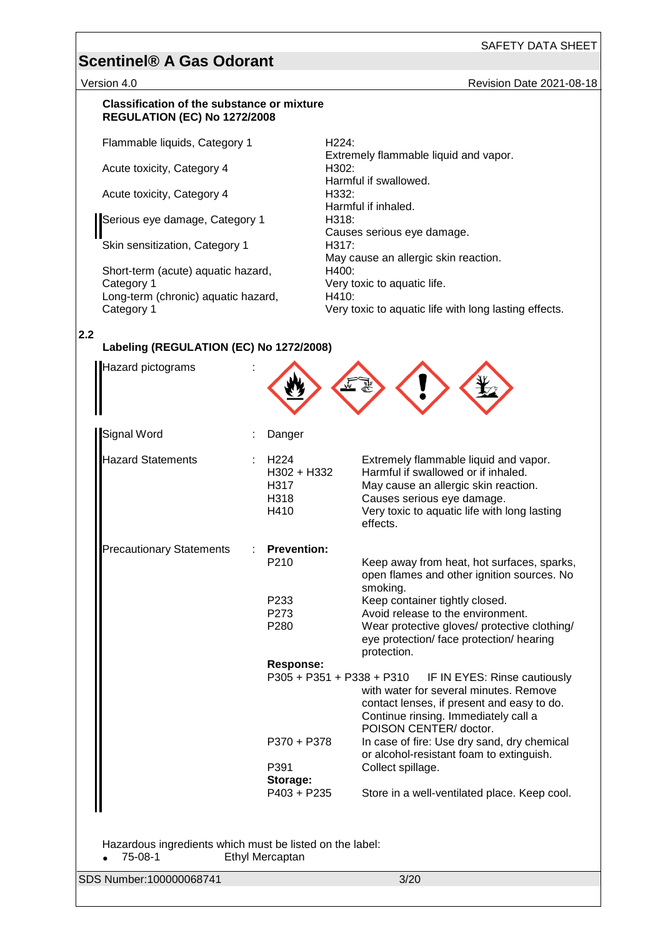Version 4.0 Revision Date 2021-08-18

### **Classification of the substance or mixture REGULATION (EC) No 1272/2008**

Flammable liquids, Category 1 H224:

Acute toxicity, Category 4

Acute toxicity, Category 4

Serious eye damage, Category 1

Skin sensitization, Category 1

Short-term (acute) aquatic hazard, Category 1 Long-term (chronic) aquatic hazard, Category 1

Extremely flammable liquid and vapor. Harmful if swallowed.<br>H332: Harmful if inhaled.<br>H318: Causes serious eye damage. May cause an allergic skin reaction. H400: Very toxic to aquatic life. H410: Very toxic to aquatic life with long lasting effects.

## **2.2**

## **Labeling (REGULATION (EC) No 1272/2008)**

| Hazard pictograms                                                   |                                                         |                                                                                                                                                                                                                |
|---------------------------------------------------------------------|---------------------------------------------------------|----------------------------------------------------------------------------------------------------------------------------------------------------------------------------------------------------------------|
| <b>Signal Word</b>                                                  | Danger                                                  |                                                                                                                                                                                                                |
| <b>Hazard Statements</b>                                            | H <sub>224</sub><br>H302 + H332<br>H317<br>H318<br>H410 | Extremely flammable liquid and vapor.<br>Harmful if swallowed or if inhaled.<br>May cause an allergic skin reaction.<br>Causes serious eye damage.<br>Very toxic to aquatic life with long lasting<br>effects. |
| <b>Precautionary Statements</b>                                     | <b>Prevention:</b><br>P210                              | Keep away from heat, hot surfaces, sparks,<br>open flames and other ignition sources. No                                                                                                                       |
|                                                                     | P233<br>P273<br>P280                                    | smoking.<br>Keep container tightly closed.<br>Avoid release to the environment.<br>Wear protective gloves/ protective clothing/<br>eye protection/ face protection/ hearing<br>protection.                     |
|                                                                     | <b>Response:</b><br>P305 + P351 + P338 + P310           | IF IN EYES: Rinse cautiously<br>with water for several minutes. Remove<br>contact lenses, if present and easy to do.<br>Continue rinsing. Immediately call a<br>POISON CENTER/ doctor.                         |
|                                                                     | P370 + P378<br>P391                                     | In case of fire: Use dry sand, dry chemical<br>or alcohol-resistant foam to extinguish.<br>Collect spillage.                                                                                                   |
|                                                                     | Storage:<br>P403 + P235                                 | Store in a well-ventilated place. Keep cool.                                                                                                                                                                   |
| Hazardous ingredients which must be listed on the label:<br>75-08-1 | Ethyl Mercaptan                                         |                                                                                                                                                                                                                |

SDS Number:100000068741 3/20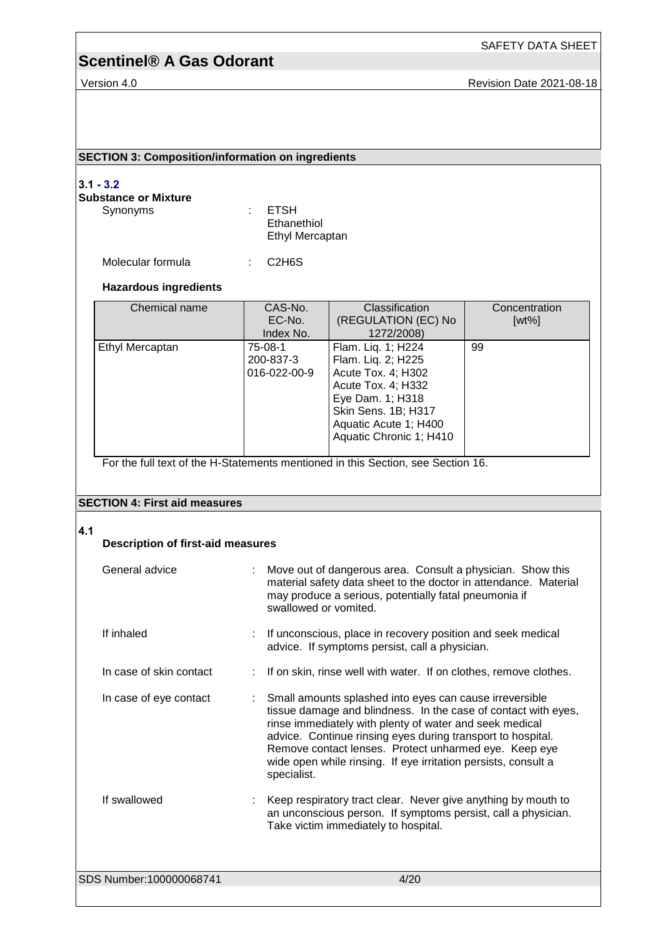Version 4.0 **Version 4.0 Revision Date 2021-08-18** 

SAFETY DATA SHEET

## **SECTION 3: Composition/information on ingredients**

## **3.1 - 3.2**

## **Substance or Mixture**

Synonyms : ETSH Ethanethiol Ethyl Mercaptan

Molecular formula : C2H6S

### **Hazardous ingredients**

| Chemical name   | CAS-No.                       | Classification          | Concentration |
|-----------------|-------------------------------|-------------------------|---------------|
|                 | (REGULATION (EC) No<br>EC-No. |                         | $[wt\%]$      |
|                 | Index No.                     | 1272/2008)              |               |
| Ethyl Mercaptan | 75-08-1                       | Flam. Liq. 1; H224      | 99            |
|                 | 200-837-3                     | Flam. Liq. 2; H225      |               |
|                 | $016 - 022 - 00 - 9$          | Acute Tox. 4; H302      |               |
|                 |                               | Acute Tox. 4; H332      |               |
|                 |                               | Eye Dam. 1; H318        |               |
|                 |                               | Skin Sens. 1B; H317     |               |
|                 |                               | Aquatic Acute 1; H400   |               |
|                 |                               | Aquatic Chronic 1; H410 |               |
|                 |                               |                         |               |

For the full text of the H-Statements mentioned in this Section, see Section 16.

## **SECTION 4: First aid measures**

### **4.1**

| <b>Description of first-aid measures</b> |                                                                                                                                                                                                                                                                                                                                                                                               |  |
|------------------------------------------|-----------------------------------------------------------------------------------------------------------------------------------------------------------------------------------------------------------------------------------------------------------------------------------------------------------------------------------------------------------------------------------------------|--|
| General advice                           | Move out of dangerous area. Consult a physician. Show this<br>material safety data sheet to the doctor in attendance. Material<br>may produce a serious, potentially fatal pneumonia if<br>swallowed or vomited.                                                                                                                                                                              |  |
| If inhaled<br>$\mathbb{R}^{\mathbb{Z}}$  | If unconscious, place in recovery position and seek medical<br>advice. If symptoms persist, call a physician.                                                                                                                                                                                                                                                                                 |  |
| In case of skin contact                  | If on skin, rinse well with water. If on clothes, remove clothes.                                                                                                                                                                                                                                                                                                                             |  |
| In case of eye contact                   | Small amounts splashed into eyes can cause irreversible<br>tissue damage and blindness. In the case of contact with eyes,<br>rinse immediately with plenty of water and seek medical<br>advice. Continue rinsing eyes during transport to hospital.<br>Remove contact lenses. Protect unharmed eye. Keep eye<br>wide open while rinsing. If eye irritation persists, consult a<br>specialist. |  |
| If swallowed                             | Keep respiratory tract clear. Never give anything by mouth to<br>an unconscious person. If symptoms persist, call a physician.<br>Take victim immediately to hospital.                                                                                                                                                                                                                        |  |
| SDS Number:100000068741                  | 4/20                                                                                                                                                                                                                                                                                                                                                                                          |  |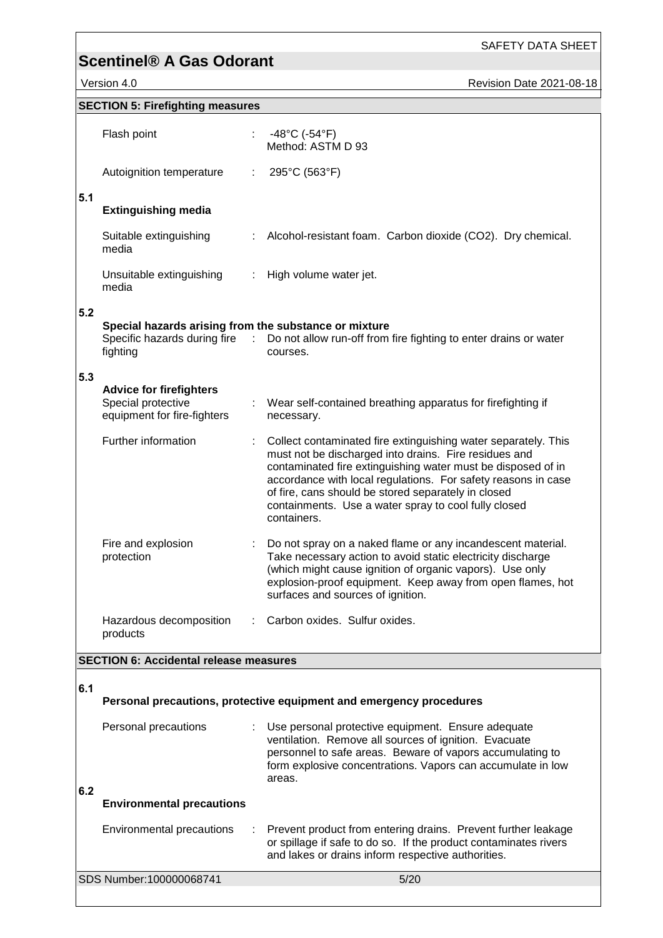Version 4.0 Revision Date 2021-08-18

|     | <b>SECTION 5: Firefighting measures</b>                                             |    |                                                                                                                                                                                                                                                                                                                                                                                        |
|-----|-------------------------------------------------------------------------------------|----|----------------------------------------------------------------------------------------------------------------------------------------------------------------------------------------------------------------------------------------------------------------------------------------------------------------------------------------------------------------------------------------|
|     | Flash point                                                                         |    | : $-48^{\circ}$ C ( $-54^{\circ}$ F)<br>Method: ASTM D 93                                                                                                                                                                                                                                                                                                                              |
|     | Autoignition temperature                                                            | ÷. | 295°C (563°F)                                                                                                                                                                                                                                                                                                                                                                          |
| 5.1 | <b>Extinguishing media</b>                                                          |    |                                                                                                                                                                                                                                                                                                                                                                                        |
|     | Suitable extinguishing<br>media                                                     |    | : Alcohol-resistant foam. Carbon dioxide (CO2). Dry chemical.                                                                                                                                                                                                                                                                                                                          |
|     | Unsuitable extinguishing<br>media                                                   |    | : High volume water jet.                                                                                                                                                                                                                                                                                                                                                               |
| 5.2 | Special hazards arising from the substance or mixture<br>fighting                   |    | Specific hazards during fire : Do not allow run-off from fire fighting to enter drains or water<br>courses.                                                                                                                                                                                                                                                                            |
| 5.3 |                                                                                     |    |                                                                                                                                                                                                                                                                                                                                                                                        |
|     | <b>Advice for firefighters</b><br>Special protective<br>equipment for fire-fighters |    | : Wear self-contained breathing apparatus for firefighting if<br>necessary.                                                                                                                                                                                                                                                                                                            |
|     | Further information                                                                 |    | Collect contaminated fire extinguishing water separately. This<br>must not be discharged into drains. Fire residues and<br>contaminated fire extinguishing water must be disposed of in<br>accordance with local regulations. For safety reasons in case<br>of fire, cans should be stored separately in closed<br>containments. Use a water spray to cool fully closed<br>containers. |
|     | Fire and explosion<br>protection                                                    |    | Do not spray on a naked flame or any incandescent material.<br>Take necessary action to avoid static electricity discharge<br>(which might cause ignition of organic vapors). Use only<br>explosion-proof equipment. Keep away from open flames, hot<br>surfaces and sources of ignition.                                                                                              |
|     | Hazardous decomposition<br>products                                                 |    | Carbon oxides. Sulfur oxides.                                                                                                                                                                                                                                                                                                                                                          |
|     | <b>SECTION 6: Accidental release measures</b>                                       |    |                                                                                                                                                                                                                                                                                                                                                                                        |
|     |                                                                                     |    |                                                                                                                                                                                                                                                                                                                                                                                        |
| 6.1 |                                                                                     |    | Personal precautions, protective equipment and emergency procedures                                                                                                                                                                                                                                                                                                                    |
| 6.2 | Personal precautions                                                                |    | Use personal protective equipment. Ensure adequate<br>ventilation. Remove all sources of ignition. Evacuate<br>personnel to safe areas. Beware of vapors accumulating to<br>form explosive concentrations. Vapors can accumulate in low<br>areas.                                                                                                                                      |
|     | <b>Environmental precautions</b>                                                    |    |                                                                                                                                                                                                                                                                                                                                                                                        |
|     | Environmental precautions                                                           |    | Prevent product from entering drains. Prevent further leakage<br>or spillage if safe to do so. If the product contaminates rivers<br>and lakes or drains inform respective authorities.                                                                                                                                                                                                |
|     | SDS Number:100000068741                                                             |    | 5/20                                                                                                                                                                                                                                                                                                                                                                                   |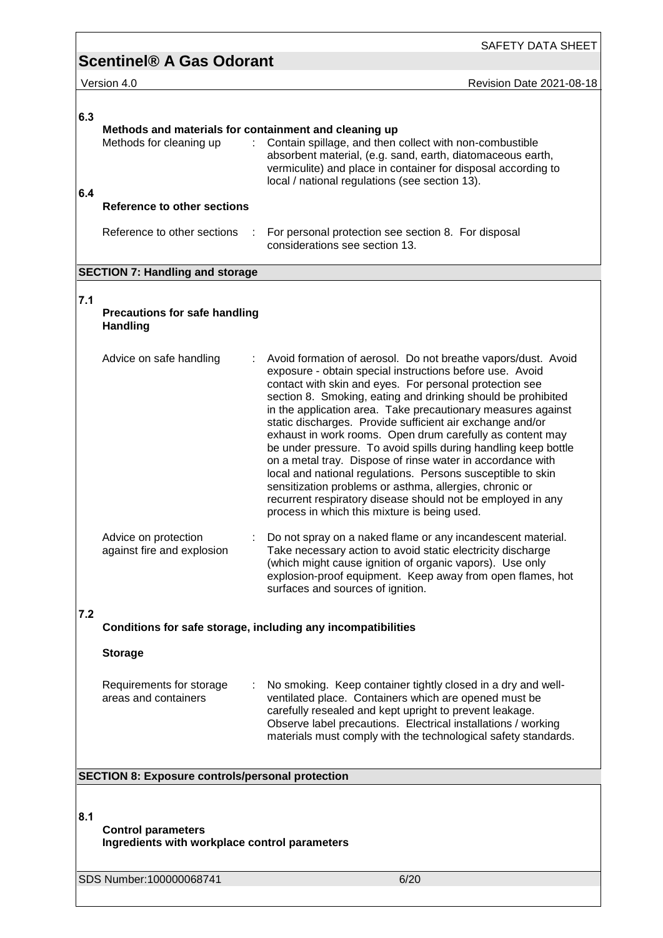|     | SAFETY DATA SHEET                                                                     |                                                                                                                                                                                                                                                                                                                                                                                                                                                                                                                                                                                                                                                                                                                                                                                                                         |  |  |  |
|-----|---------------------------------------------------------------------------------------|-------------------------------------------------------------------------------------------------------------------------------------------------------------------------------------------------------------------------------------------------------------------------------------------------------------------------------------------------------------------------------------------------------------------------------------------------------------------------------------------------------------------------------------------------------------------------------------------------------------------------------------------------------------------------------------------------------------------------------------------------------------------------------------------------------------------------|--|--|--|
|     | <b>Scentinel® A Gas Odorant</b>                                                       |                                                                                                                                                                                                                                                                                                                                                                                                                                                                                                                                                                                                                                                                                                                                                                                                                         |  |  |  |
|     | Version 4.0                                                                           | <b>Revision Date 2021-08-18</b>                                                                                                                                                                                                                                                                                                                                                                                                                                                                                                                                                                                                                                                                                                                                                                                         |  |  |  |
| 6.3 | Methods and materials for containment and cleaning up<br>÷<br>Methods for cleaning up | Contain spillage, and then collect with non-combustible<br>absorbent material, (e.g. sand, earth, diatomaceous earth,<br>vermiculite) and place in container for disposal according to<br>local / national regulations (see section 13).                                                                                                                                                                                                                                                                                                                                                                                                                                                                                                                                                                                |  |  |  |
| 6.4 | <b>Reference to other sections</b>                                                    |                                                                                                                                                                                                                                                                                                                                                                                                                                                                                                                                                                                                                                                                                                                                                                                                                         |  |  |  |
|     | Reference to other sections<br>÷                                                      | For personal protection see section 8. For disposal<br>considerations see section 13.                                                                                                                                                                                                                                                                                                                                                                                                                                                                                                                                                                                                                                                                                                                                   |  |  |  |
|     | <b>SECTION 7: Handling and storage</b>                                                |                                                                                                                                                                                                                                                                                                                                                                                                                                                                                                                                                                                                                                                                                                                                                                                                                         |  |  |  |
| 7.1 | <b>Precautions for safe handling</b><br><b>Handling</b>                               |                                                                                                                                                                                                                                                                                                                                                                                                                                                                                                                                                                                                                                                                                                                                                                                                                         |  |  |  |
|     | Advice on safe handling                                                               | Avoid formation of aerosol. Do not breathe vapors/dust. Avoid<br>exposure - obtain special instructions before use. Avoid<br>contact with skin and eyes. For personal protection see<br>section 8. Smoking, eating and drinking should be prohibited<br>in the application area. Take precautionary measures against<br>static discharges. Provide sufficient air exchange and/or<br>exhaust in work rooms. Open drum carefully as content may<br>be under pressure. To avoid spills during handling keep bottle<br>on a metal tray. Dispose of rinse water in accordance with<br>local and national regulations. Persons susceptible to skin<br>sensitization problems or asthma, allergies, chronic or<br>recurrent respiratory disease should not be employed in any<br>process in which this mixture is being used. |  |  |  |
|     | Advice on protection<br>against fire and explosion                                    | Do not spray on a naked flame or any incandescent material.<br>Take necessary action to avoid static electricity discharge<br>(which might cause ignition of organic vapors). Use only<br>explosion-proof equipment. Keep away from open flames, hot<br>surfaces and sources of ignition.                                                                                                                                                                                                                                                                                                                                                                                                                                                                                                                               |  |  |  |
| 7.2 | Conditions for safe storage, including any incompatibilities                          |                                                                                                                                                                                                                                                                                                                                                                                                                                                                                                                                                                                                                                                                                                                                                                                                                         |  |  |  |
|     | <b>Storage</b>                                                                        |                                                                                                                                                                                                                                                                                                                                                                                                                                                                                                                                                                                                                                                                                                                                                                                                                         |  |  |  |
|     | Requirements for storage<br>areas and containers                                      | No smoking. Keep container tightly closed in a dry and well-<br>ventilated place. Containers which are opened must be<br>carefully resealed and kept upright to prevent leakage.<br>Observe label precautions. Electrical installations / working<br>materials must comply with the technological safety standards.                                                                                                                                                                                                                                                                                                                                                                                                                                                                                                     |  |  |  |
|     | <b>SECTION 8: Exposure controls/personal protection</b>                               |                                                                                                                                                                                                                                                                                                                                                                                                                                                                                                                                                                                                                                                                                                                                                                                                                         |  |  |  |
| 8.1 | <b>Control parameters</b><br>Ingredients with workplace control parameters            |                                                                                                                                                                                                                                                                                                                                                                                                                                                                                                                                                                                                                                                                                                                                                                                                                         |  |  |  |
|     | SDS Number:100000068741                                                               | 6/20                                                                                                                                                                                                                                                                                                                                                                                                                                                                                                                                                                                                                                                                                                                                                                                                                    |  |  |  |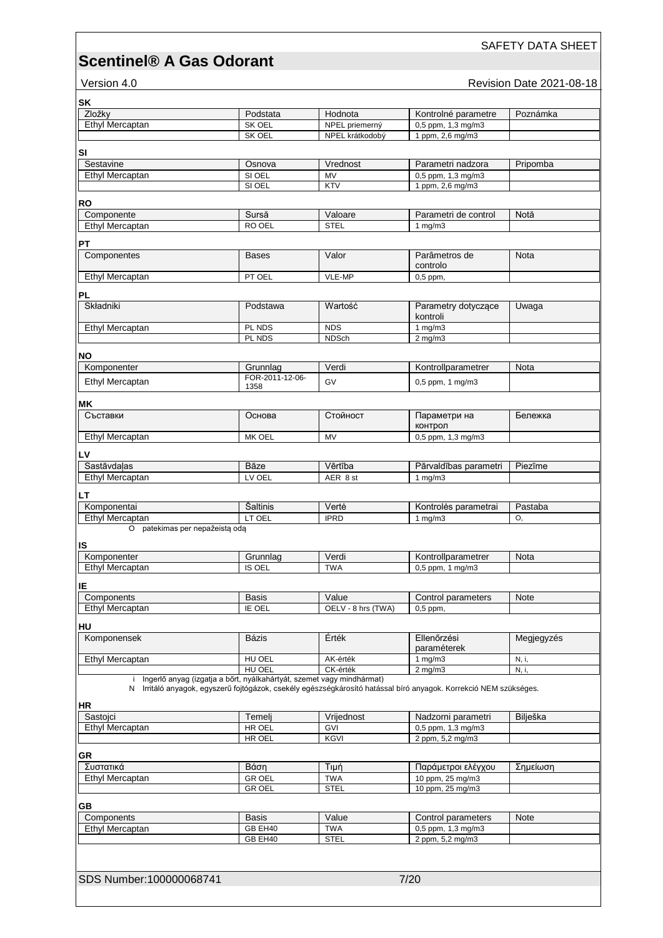SAFETY DATA SHEET

## Version 4.0 **Version 4.0 Revision Date 2021-08-18**

| SΚ                                                                                                                |                    |                                   |                                        |            |
|-------------------------------------------------------------------------------------------------------------------|--------------------|-----------------------------------|----------------------------------------|------------|
| Zložky                                                                                                            | Podstata           | Hodnota                           | Kontrolné parametre                    | Poznámka   |
| Ethyl Mercaptan                                                                                                   | SK OEL<br>SK OEL   | NPEL priemerný<br>NPEL krátkodobý | 0,5 ppm, 1,3 mg/m3<br>1 ppm, 2,6 mg/m3 |            |
|                                                                                                                   |                    |                                   |                                        |            |
| SI                                                                                                                |                    |                                   |                                        |            |
| Sestavine                                                                                                         | Osnova             | Vrednost                          | Parametri nadzora                      | Pripomba   |
| Ethyl Mercaptan                                                                                                   | SI OEL             | MV                                | 0,5 ppm, 1,3 mg/m3                     |            |
|                                                                                                                   | SI OEL             | <b>KTV</b>                        | 1 ppm, 2,6 mg/m3                       |            |
| RO                                                                                                                |                    |                                   |                                        |            |
| Componente                                                                                                        | Sursă              | Valoare                           | Parametri de control                   | Notă       |
| <b>Ethyl Mercaptan</b>                                                                                            | RO OEL             | <b>STEL</b>                       | 1 $mq/m3$                              |            |
|                                                                                                                   |                    |                                   |                                        |            |
| PΤ                                                                                                                |                    |                                   |                                        |            |
| Componentes                                                                                                       | <b>Bases</b>       | Valor                             | Parâmetros de<br>controlo              | Nota       |
| Ethyl Mercaptan                                                                                                   | PT OEL             | VLE-MP                            | $0,5$ ppm,                             |            |
|                                                                                                                   |                    |                                   |                                        |            |
| PL                                                                                                                |                    |                                   |                                        |            |
| Składniki                                                                                                         | Podstawa           | Wartość                           | Parametry dotyczące                    | Uwaga      |
|                                                                                                                   |                    |                                   | kontroli                               |            |
| Ethyl Mercaptan                                                                                                   | PL NDS             | <b>NDS</b>                        | 1 $mg/m3$                              |            |
|                                                                                                                   | PL NDS             | <b>NDSch</b>                      | $2$ mg/m $3$                           |            |
| <b>NO</b>                                                                                                         |                    |                                   |                                        |            |
| Komponenter                                                                                                       | Grunnlag           | Verdi                             | Kontrollparametrer                     | Nota       |
| Ethyl Mercaptan                                                                                                   | FOR-2011-12-06-    | GV                                | 0,5 ppm, 1 mg/m3                       |            |
|                                                                                                                   | 1358               |                                   |                                        |            |
| ΜK                                                                                                                |                    |                                   |                                        |            |
| Съставки                                                                                                          | Основа             | Стойност                          | Параметри на                           | Бележка    |
|                                                                                                                   |                    |                                   | контрол                                |            |
| Ethyl Mercaptan                                                                                                   | MK OEL             | MV                                | 0,5 ppm, 1,3 mg/m3                     |            |
| LV                                                                                                                |                    |                                   |                                        |            |
| Sastāvdaļas                                                                                                       | <b>Bāze</b>        | Vērtība                           | Pārvaldības parametri                  | Piezīme    |
| Ethyl Mercaptan                                                                                                   | LV OEL             | AER 8 st                          | 1 $mg/m3$                              |            |
|                                                                                                                   |                    |                                   |                                        |            |
| LΤ                                                                                                                |                    |                                   |                                        |            |
| Komponentai                                                                                                       | Šaltinis           | Vertė                             | Kontrolės parametrai                   | Pastaba    |
| Ethyl Mercaptan                                                                                                   | LT OEL             | <b>IPRD</b>                       | $1$ mg/m $3$                           | O.         |
| O patekimas per nepažeistą odą                                                                                    |                    |                                   |                                        |            |
| IS                                                                                                                |                    |                                   |                                        |            |
| Komponenter                                                                                                       | Grunnlag           | Verdi                             | Kontrollparametrer                     | Nota       |
| Ethyl Mercaptan                                                                                                   | IS OEL             | <b>TWA</b>                        | 0,5 ppm, 1 mg/m3                       |            |
|                                                                                                                   |                    |                                   |                                        |            |
| IΕ<br>Components                                                                                                  |                    |                                   |                                        |            |
| Ethyl Mercaptan                                                                                                   | <b>Basis</b>       | Value<br>OELV - 8 hrs (TWA)       | Control parameters                     | Note       |
|                                                                                                                   | IE OEL             |                                   | $0,5$ ppm,                             |            |
| HU                                                                                                                |                    |                                   |                                        |            |
| Komponensek                                                                                                       | Bázis              | Érték                             | Ellenőrzési                            | Megjegyzés |
|                                                                                                                   |                    |                                   | paraméterek                            |            |
| Ethyl Mercaptan                                                                                                   | HU OEL             | AK-érték                          | 1 $mg/m3$                              | N, i,      |
| Ingerlő anyag (izgatja a bőrt, nyálkahártyát, szemet vagy mindhármat)                                             | HU OEL             | CK-érték                          | $2 \text{ mg/m}$                       | N, i,      |
| N Irritáló anyagok, egyszerű fojtógázok, csekély egészségkárosító hatással bíró anyagok. Korrekció NEM szükséges. |                    |                                   |                                        |            |
|                                                                                                                   |                    |                                   |                                        |            |
| HR                                                                                                                |                    |                                   |                                        |            |
| Sastojci                                                                                                          | Temelj             | Vrijednost                        | Nadzorni parametri                     | Bilješka   |
| Ethyl Mercaptan                                                                                                   |                    |                                   |                                        |            |
|                                                                                                                   | HR OEL             | GVI                               | 0,5 ppm, 1,3 mg/m3                     |            |
|                                                                                                                   | HR OEL             | KGVI                              | 2 ppm, 5,2 mg/m3                       |            |
| GR                                                                                                                |                    |                                   |                                        |            |
| Συστατικά                                                                                                         | Βάση               | Τιμή                              | Παράμετροι ελέγχου                     | Σημείωση   |
| Ethyl Mercaptan                                                                                                   | <b>GR OEL</b>      | <b>TWA</b>                        | 10 ppm, 25 mg/m3                       |            |
|                                                                                                                   | <b>GROEL</b>       | <b>STEL</b>                       | 10 ppm, 25 mg/m3                       |            |
|                                                                                                                   |                    |                                   |                                        |            |
| GВ                                                                                                                |                    |                                   |                                        |            |
| Components                                                                                                        | <b>Basis</b>       | Value                             | Control parameters                     | Note       |
| Ethyl Mercaptan                                                                                                   | GB EH40<br>GB EH40 | <b>TWA</b><br><b>STEL</b>         | 0,5 ppm, 1,3 mg/m3<br>2 ppm, 5,2 mg/m3 |            |
|                                                                                                                   |                    |                                   |                                        |            |
|                                                                                                                   |                    |                                   |                                        |            |
|                                                                                                                   |                    |                                   |                                        |            |
| SDS Number:100000068741                                                                                           |                    |                                   | 7/20                                   |            |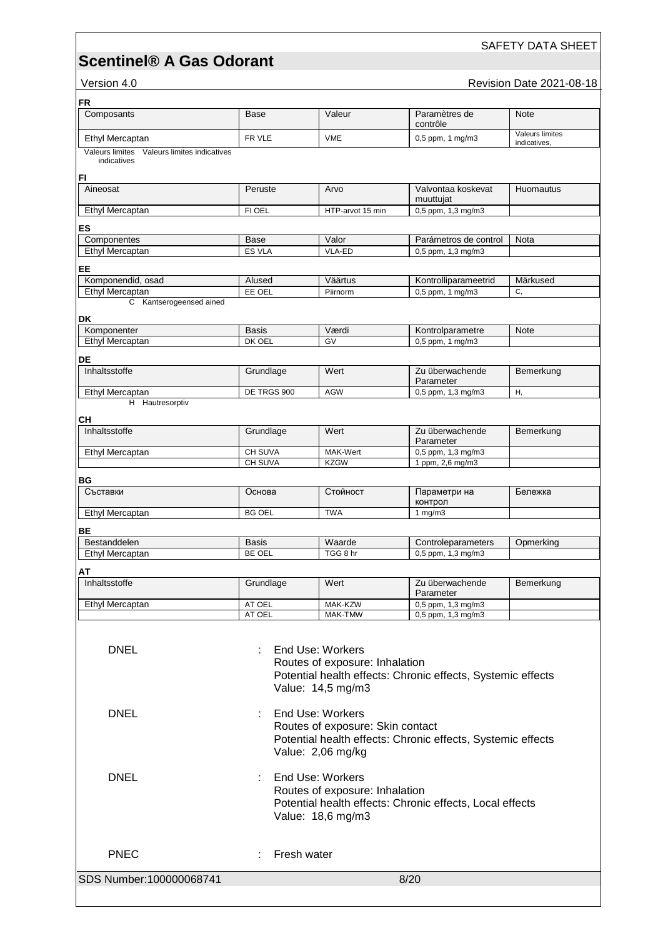SAFETY DATA SHEET

Version 4.0 **Version 4.0 Revision Date 2021-08-18** 

| <b>FR</b>                                                     |                                                                                                                                     |                                                                           |                                                             |                                        |  |
|---------------------------------------------------------------|-------------------------------------------------------------------------------------------------------------------------------------|---------------------------------------------------------------------------|-------------------------------------------------------------|----------------------------------------|--|
| Composants                                                    | Base                                                                                                                                | Valeur                                                                    | Paramètres de<br>contrôle                                   | <b>Note</b>                            |  |
| Ethyl Mercaptan                                               | FR VLE                                                                                                                              | <b>VME</b>                                                                | $0.5$ ppm, 1 mg/m $3$                                       | <b>Valeurs limites</b><br>indicatives. |  |
| Valeurs limites<br>Valeurs limites indicatives<br>indicatives |                                                                                                                                     |                                                                           |                                                             |                                        |  |
|                                                               |                                                                                                                                     |                                                                           |                                                             |                                        |  |
| FI<br>Aineosat                                                | Peruste                                                                                                                             | Arvo                                                                      | Valvontaa koskevat                                          | Huomautus                              |  |
|                                                               |                                                                                                                                     |                                                                           | muuttujat                                                   |                                        |  |
| Ethyl Mercaptan                                               | FI OEL                                                                                                                              | HTP-arvot 15 min                                                          | 0,5 ppm, 1,3 mg/m3                                          |                                        |  |
| ES                                                            |                                                                                                                                     |                                                                           |                                                             |                                        |  |
| Componentes<br>Ethyl Mercaptan                                | Base<br><b>ES VLA</b>                                                                                                               | Valor<br>VLA-ED                                                           | Parámetros de control<br>0,5 ppm, 1,3 mg/m3                 | Nota                                   |  |
|                                                               |                                                                                                                                     |                                                                           |                                                             |                                        |  |
| EE                                                            |                                                                                                                                     |                                                                           |                                                             |                                        |  |
| Komponendid, osad<br>Ethyl Mercaptan                          | Alused<br>EE OEL                                                                                                                    | Väärtus<br>Piirnorm                                                       | Kontrolliparameetrid<br>0,5 ppm, 1 mg/m3                    | Märkused<br>C.                         |  |
| Kantserogeensed ained<br>C.                                   |                                                                                                                                     |                                                                           |                                                             |                                        |  |
| DK                                                            |                                                                                                                                     |                                                                           |                                                             |                                        |  |
| Komponenter                                                   | <b>Basis</b>                                                                                                                        | Værdi                                                                     | Kontrolparametre                                            | <b>Note</b>                            |  |
| Ethyl Mercaptan                                               | DK OEL                                                                                                                              | GV                                                                        | 0,5 ppm, 1 mg/m3                                            |                                        |  |
| DE                                                            |                                                                                                                                     |                                                                           |                                                             |                                        |  |
| Inhaltsstoffe                                                 | Grundlage                                                                                                                           | Wert                                                                      | Zu überwachende<br>Parameter                                | Bemerkung                              |  |
| Ethyl Mercaptan                                               | DE TRGS 900                                                                                                                         | <b>AGW</b>                                                                | 0,5 ppm, 1,3 mg/m3                                          | Η,                                     |  |
| H Hautresorptiv                                               |                                                                                                                                     |                                                                           |                                                             |                                        |  |
| CН                                                            |                                                                                                                                     |                                                                           |                                                             |                                        |  |
| Inhaltsstoffe                                                 | Grundlage                                                                                                                           | Wert                                                                      | Zu überwachende<br>Parameter                                | Bemerkung                              |  |
| Ethyl Mercaptan                                               | CH SUVA                                                                                                                             | MAK-Wert                                                                  | 0,5 ppm, 1,3 mg/m3                                          |                                        |  |
|                                                               | CH SUVA                                                                                                                             | <b>KZGW</b>                                                               | 1 ppm, 2,6 mg/m3                                            |                                        |  |
| ΒG                                                            |                                                                                                                                     |                                                                           |                                                             |                                        |  |
| Съставки                                                      | Основа                                                                                                                              | Стойност                                                                  | Параметри на<br>контрол                                     | Бележка                                |  |
| Ethyl Mercaptan                                               | <b>BG OEL</b>                                                                                                                       | <b>TWA</b>                                                                | 1 $mg/m3$                                                   |                                        |  |
| BЕ                                                            |                                                                                                                                     |                                                                           |                                                             |                                        |  |
| Bestanddelen                                                  | <b>Basis</b>                                                                                                                        | Waarde                                                                    | Controleparameters                                          | Opmerking                              |  |
| <b>Ethyl Mercaptan</b>                                        | BE OEL                                                                                                                              | TGG 8 hr                                                                  | 0,5 ppm, 1,3 mg/m3                                          |                                        |  |
| АТ                                                            |                                                                                                                                     |                                                                           |                                                             |                                        |  |
| Inhaltsstoffe                                                 | Grundlage                                                                                                                           | Wert                                                                      | Zu überwachende<br>Parameter                                | Bemerkung                              |  |
| Ethyl Mercaptan                                               | AT OEL                                                                                                                              | MAK-KZW                                                                   | 0,5 ppm, 1,3 mg/m3                                          |                                        |  |
|                                                               | AT OEL                                                                                                                              | MAK-TMW                                                                   | 0,5 ppm, 1,3 mg/m3                                          |                                        |  |
| <b>DNEL</b>                                                   |                                                                                                                                     | End Use: Workers<br>Routes of exposure: Inhalation<br>Value: 14,5 mg/m3   | Potential health effects: Chronic effects, Systemic effects |                                        |  |
| <b>DNEL</b>                                                   |                                                                                                                                     | End Use: Workers<br>Routes of exposure: Skin contact<br>Value: 2,06 mg/kg | Potential health effects: Chronic effects, Systemic effects |                                        |  |
| <b>DNEL</b>                                                   | End Use: Workers<br>Routes of exposure: Inhalation<br>Potential health effects: Chronic effects, Local effects<br>Value: 18,6 mg/m3 |                                                                           |                                                             |                                        |  |
| <b>PNEC</b>                                                   | Fresh water                                                                                                                         |                                                                           |                                                             |                                        |  |
|                                                               |                                                                                                                                     |                                                                           |                                                             |                                        |  |
| SDS Number:100000068741                                       |                                                                                                                                     |                                                                           | 8/20                                                        |                                        |  |
|                                                               |                                                                                                                                     |                                                                           |                                                             |                                        |  |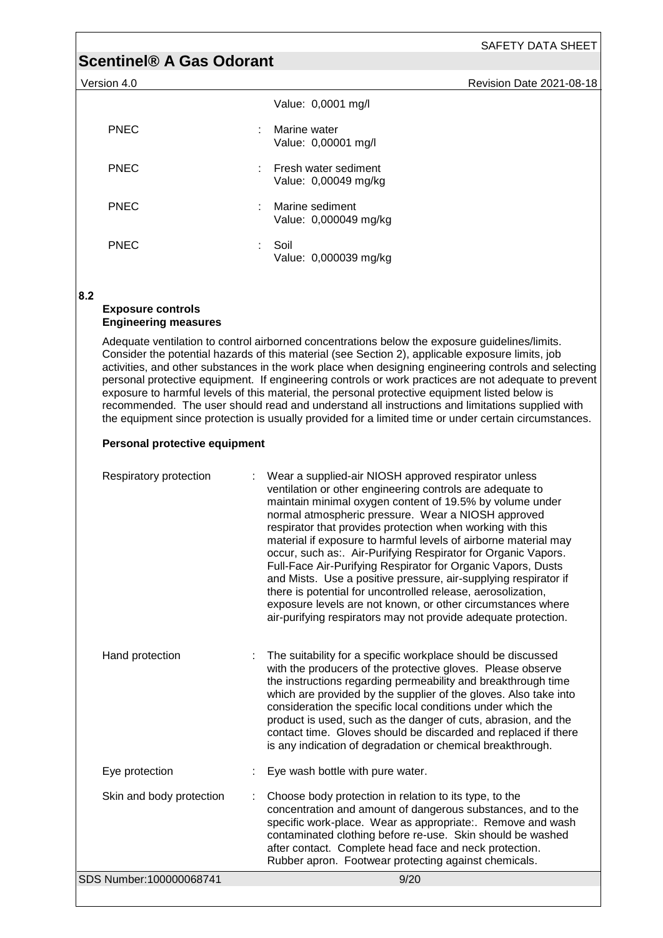| SAFETY DATA SHEET |  |
|-------------------|--|
|                   |  |

Version 4.0 Revision Date 2021-08-18

|             | Value: 0,0001 mg/l                           |
|-------------|----------------------------------------------|
| <b>PNEC</b> | Marine water<br>Value: 0,00001 mg/l          |
| <b>PNEC</b> | Fresh water sediment<br>Value: 0,00049 mg/kg |
| <b>PNEC</b> | Marine sediment<br>Value: 0,000049 mg/kg     |
| PNEC        | Soil<br>Value: 0,000039 mg/kg                |

### **8.2**

### **Exposure controls Engineering measures**

Adequate ventilation to control airborned concentrations below the exposure guidelines/limits. Consider the potential hazards of this material (see Section 2), applicable exposure limits, job activities, and other substances in the work place when designing engineering controls and selecting personal protective equipment. If engineering controls or work practices are not adequate to prevent exposure to harmful levels of this material, the personal protective equipment listed below is recommended. The user should read and understand all instructions and limitations supplied with the equipment since protection is usually provided for a limited time or under certain circumstances.

## **Personal protective equipment**

| Respiratory protection   | Wear a supplied-air NIOSH approved respirator unless<br>ventilation or other engineering controls are adequate to<br>maintain minimal oxygen content of 19.5% by volume under<br>normal atmospheric pressure. Wear a NIOSH approved<br>respirator that provides protection when working with this<br>material if exposure to harmful levels of airborne material may<br>occur, such as:. Air-Purifying Respirator for Organic Vapors.<br>Full-Face Air-Purifying Respirator for Organic Vapors, Dusts<br>and Mists. Use a positive pressure, air-supplying respirator if<br>there is potential for uncontrolled release, aerosolization,<br>exposure levels are not known, or other circumstances where<br>air-purifying respirators may not provide adequate protection. |
|--------------------------|---------------------------------------------------------------------------------------------------------------------------------------------------------------------------------------------------------------------------------------------------------------------------------------------------------------------------------------------------------------------------------------------------------------------------------------------------------------------------------------------------------------------------------------------------------------------------------------------------------------------------------------------------------------------------------------------------------------------------------------------------------------------------|
| Hand protection          | The suitability for a specific workplace should be discussed<br>with the producers of the protective gloves. Please observe<br>the instructions regarding permeability and breakthrough time<br>which are provided by the supplier of the gloves. Also take into<br>consideration the specific local conditions under which the<br>product is used, such as the danger of cuts, abrasion, and the<br>contact time. Gloves should be discarded and replaced if there<br>is any indication of degradation or chemical breakthrough.                                                                                                                                                                                                                                         |
| Eye protection           | Eye wash bottle with pure water.                                                                                                                                                                                                                                                                                                                                                                                                                                                                                                                                                                                                                                                                                                                                          |
| Skin and body protection | Choose body protection in relation to its type, to the<br>concentration and amount of dangerous substances, and to the<br>specific work-place. Wear as appropriate:. Remove and wash<br>contaminated clothing before re-use. Skin should be washed<br>after contact. Complete head face and neck protection.<br>Rubber apron. Footwear protecting against chemicals.                                                                                                                                                                                                                                                                                                                                                                                                      |
| SDS Number:100000068741  | 9/20                                                                                                                                                                                                                                                                                                                                                                                                                                                                                                                                                                                                                                                                                                                                                                      |
|                          |                                                                                                                                                                                                                                                                                                                                                                                                                                                                                                                                                                                                                                                                                                                                                                           |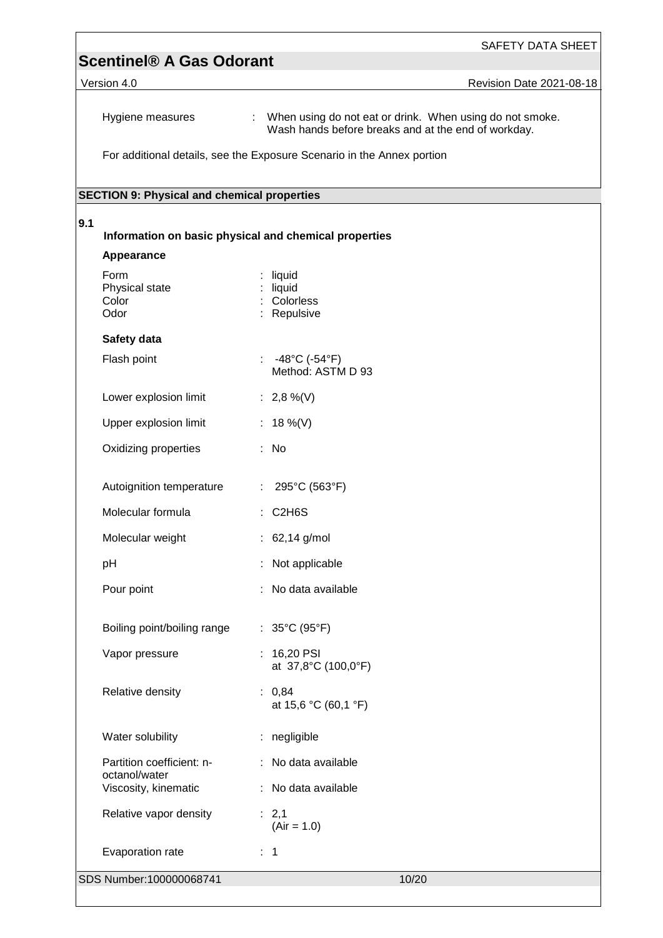|     | <b>Scentinel® A Gas Odorant</b>                    | <b>SAFETY DATA SHEET</b>                                                                                          |
|-----|----------------------------------------------------|-------------------------------------------------------------------------------------------------------------------|
|     | Version 4.0                                        | Revision Date 2021-08-18                                                                                          |
|     |                                                    |                                                                                                                   |
|     | Hygiene measures                                   | : When using do not eat or drink. When using do not smoke.<br>Wash hands before breaks and at the end of workday. |
|     |                                                    | For additional details, see the Exposure Scenario in the Annex portion                                            |
|     | <b>SECTION 9: Physical and chemical properties</b> |                                                                                                                   |
| 9.1 |                                                    |                                                                                                                   |
|     |                                                    | Information on basic physical and chemical properties                                                             |
|     | Appearance                                         |                                                                                                                   |
|     | Form<br>Physical state<br>Color<br>Odor            | liquid<br>liquid<br>: Colorless<br>: Repulsive                                                                    |
|     | Safety data                                        |                                                                                                                   |
|     | Flash point                                        | -48°C (-54°F)<br>÷<br>Method: ASTM D 93                                                                           |
|     | Lower explosion limit                              | : 2,8 %(V)                                                                                                        |
|     | Upper explosion limit                              | : 18 %(V)                                                                                                         |
|     | Oxidizing properties                               | : No                                                                                                              |
|     | Autoignition temperature                           | : $295^{\circ}$ C (563 $^{\circ}$ F)                                                                              |
|     | Molecular formula                                  | C <sub>2</sub> H <sub>6</sub> S<br>÷                                                                              |
|     | Molecular weight                                   | $: 62,14$ g/mol                                                                                                   |
|     | pH                                                 | Not applicable                                                                                                    |
|     | Pour point                                         | No data available                                                                                                 |
|     | Boiling point/boiling range                        | : $35^{\circ}$ C (95 $^{\circ}$ F)                                                                                |
|     | Vapor pressure                                     | 16,20 PSI<br>÷<br>at 37,8°C (100,0°F)                                                                             |
|     | Relative density                                   | : 0,84<br>at 15,6 °C (60,1 °F)                                                                                    |
|     | Water solubility                                   | : negligible                                                                                                      |
|     | Partition coefficient: n-<br>octanol/water         | : No data available                                                                                               |
|     | Viscosity, kinematic                               | : No data available                                                                                               |
|     | Relative vapor density                             | : 2,1<br>$(Air = 1.0)$                                                                                            |
|     | Evaporation rate                                   | : 1                                                                                                               |
|     | SDS Number:100000068741                            | 10/20                                                                                                             |
|     |                                                    |                                                                                                                   |

<u> 1989 - Johann Barn, fransk politik (f. 1989)</u>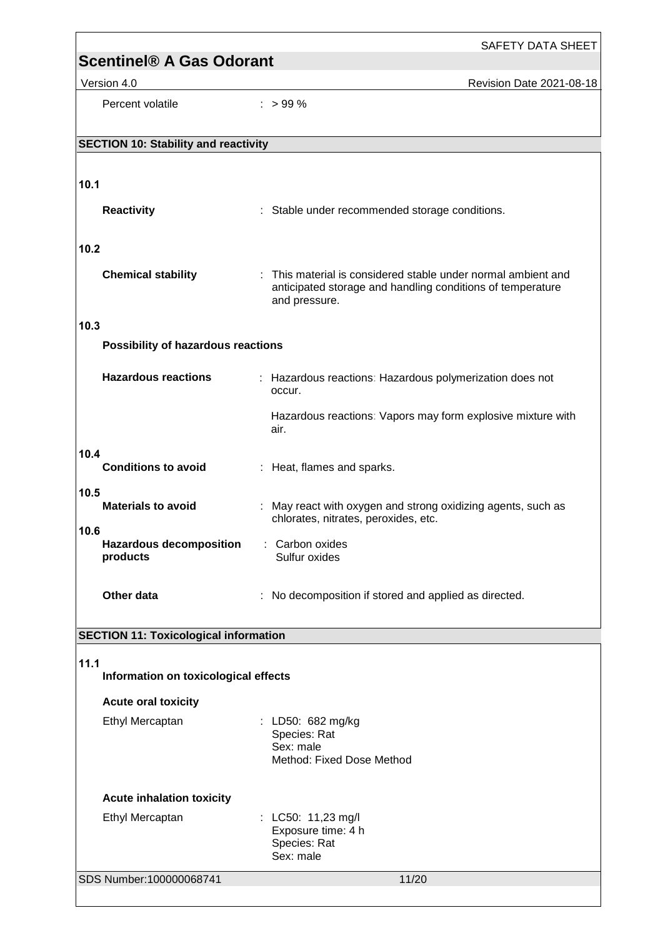|                                                    | <b>SAFETY DATA SHEET</b>                                                                                                                     |  |  |
|----------------------------------------------------|----------------------------------------------------------------------------------------------------------------------------------------------|--|--|
| <b>Scentinel® A Gas Odorant</b>                    |                                                                                                                                              |  |  |
| Version 4.0                                        | Revision Date 2021-08-18                                                                                                                     |  |  |
| Percent volatile                                   | $: > 99 \%$                                                                                                                                  |  |  |
|                                                    |                                                                                                                                              |  |  |
| <b>SECTION 10: Stability and reactivity</b>        |                                                                                                                                              |  |  |
| 10.1                                               |                                                                                                                                              |  |  |
|                                                    |                                                                                                                                              |  |  |
| <b>Reactivity</b>                                  | : Stable under recommended storage conditions.                                                                                               |  |  |
| 10.2                                               |                                                                                                                                              |  |  |
| <b>Chemical stability</b>                          | : This material is considered stable under normal ambient and<br>anticipated storage and handling conditions of temperature<br>and pressure. |  |  |
| 10.3                                               |                                                                                                                                              |  |  |
| Possibility of hazardous reactions                 |                                                                                                                                              |  |  |
| <b>Hazardous reactions</b>                         | : Hazardous reactions: Hazardous polymerization does not<br>occur.                                                                           |  |  |
|                                                    | Hazardous reactions: Vapors may form explosive mixture with<br>air.                                                                          |  |  |
| 10.4<br><b>Conditions to avoid</b>                 | : Heat, flames and sparks.                                                                                                                   |  |  |
| 10.5<br><b>Materials to avoid</b>                  | : May react with oxygen and strong oxidizing agents, such as<br>chlorates, nitrates, peroxides, etc.                                         |  |  |
| 10.6<br><b>Hazardous decomposition</b><br>products | : Carbon oxides<br>Sulfur oxides                                                                                                             |  |  |
| Other data                                         | : No decomposition if stored and applied as directed.                                                                                        |  |  |
| <b>SECTION 11: Toxicological information</b>       |                                                                                                                                              |  |  |
| 11.1<br>Information on toxicological effects       |                                                                                                                                              |  |  |
| <b>Acute oral toxicity</b>                         |                                                                                                                                              |  |  |
| Ethyl Mercaptan                                    | : LD50: 682 mg/kg<br>Species: Rat<br>Sex: male<br>Method: Fixed Dose Method                                                                  |  |  |
| <b>Acute inhalation toxicity</b>                   |                                                                                                                                              |  |  |
| Ethyl Mercaptan                                    | : LC50: 11,23 mg/l<br>Exposure time: 4 h<br>Species: Rat<br>Sex: male                                                                        |  |  |
| SDS Number:100000068741                            | 11/20                                                                                                                                        |  |  |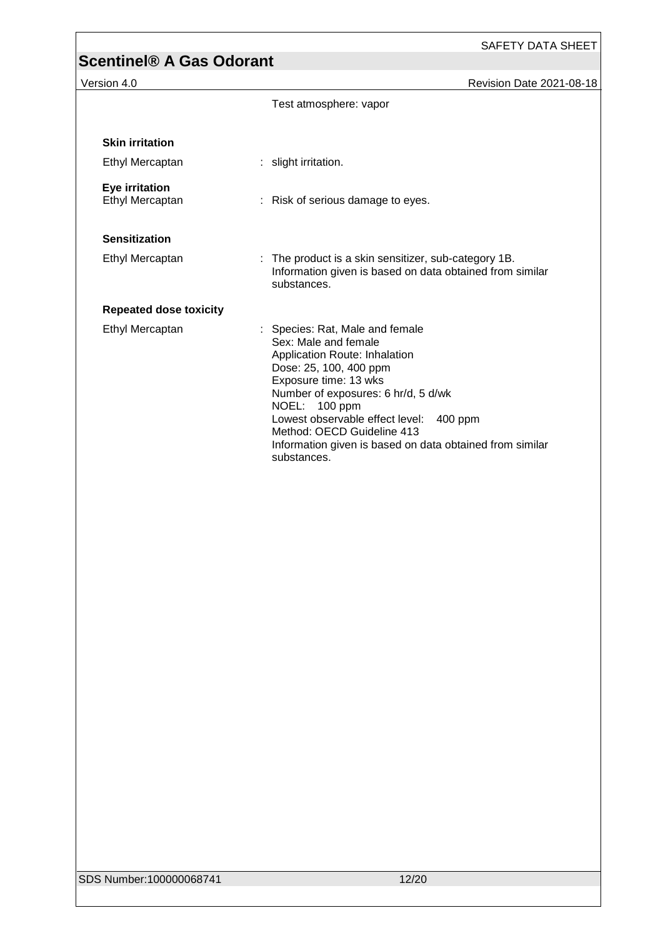Version 4.0 Revision Date 2021-08-18

|                                   | Test atmosphere: vapor                                                                                                                                                                                                                                                                                                                                     |  |  |
|-----------------------------------|------------------------------------------------------------------------------------------------------------------------------------------------------------------------------------------------------------------------------------------------------------------------------------------------------------------------------------------------------------|--|--|
| <b>Skin irritation</b>            |                                                                                                                                                                                                                                                                                                                                                            |  |  |
| Ethyl Mercaptan                   | : slight irritation.                                                                                                                                                                                                                                                                                                                                       |  |  |
| Eye irritation<br>Ethyl Mercaptan | : Risk of serious damage to eyes.                                                                                                                                                                                                                                                                                                                          |  |  |
| <b>Sensitization</b>              |                                                                                                                                                                                                                                                                                                                                                            |  |  |
| Ethyl Mercaptan                   | : The product is a skin sensitizer, sub-category 1B.<br>Information given is based on data obtained from similar<br>substances.                                                                                                                                                                                                                            |  |  |
| <b>Repeated dose toxicity</b>     |                                                                                                                                                                                                                                                                                                                                                            |  |  |
| Ethyl Mercaptan                   | : Species: Rat, Male and female<br>Sex: Male and female<br>Application Route: Inhalation<br>Dose: 25, 100, 400 ppm<br>Exposure time: 13 wks<br>Number of exposures: 6 hr/d, 5 d/wk<br>NOEL: 100 ppm<br>Lowest observable effect level:<br>400 ppm<br>Method: OECD Guideline 413<br>Information given is based on data obtained from similar<br>substances. |  |  |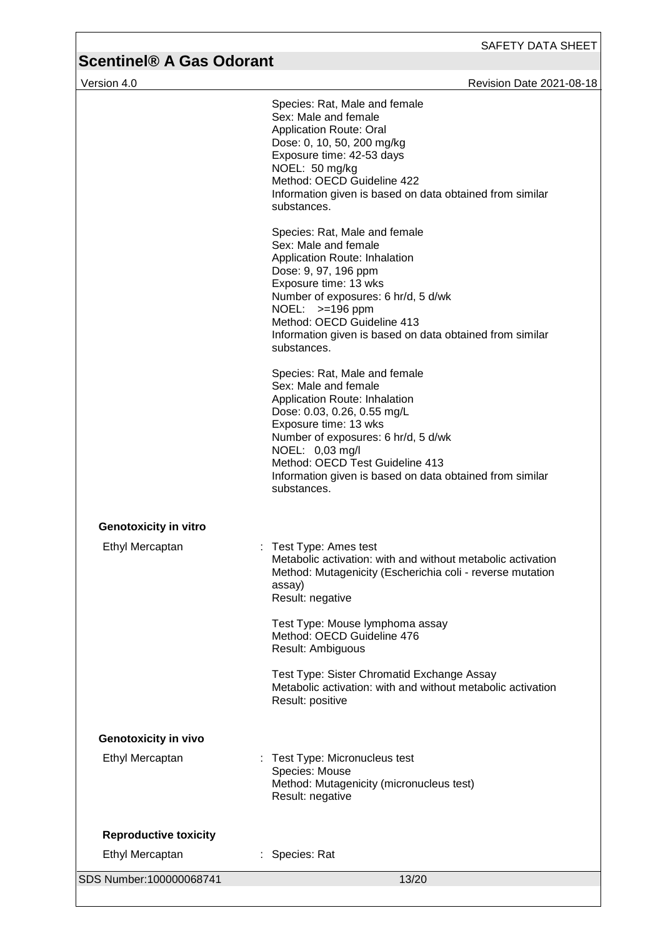| Version 4.0                  | <b>Revision Date 2021-08-18</b>                                                                                                                                                                                                                                                                                        |
|------------------------------|------------------------------------------------------------------------------------------------------------------------------------------------------------------------------------------------------------------------------------------------------------------------------------------------------------------------|
|                              | Species: Rat, Male and female<br>Sex: Male and female<br><b>Application Route: Oral</b><br>Dose: 0, 10, 50, 200 mg/kg<br>Exposure time: 42-53 days<br>NOEL: 50 mg/kg<br>Method: OECD Guideline 422<br>Information given is based on data obtained from similar<br>substances.                                          |
|                              | Species: Rat, Male and female<br>Sex: Male and female<br>Application Route: Inhalation<br>Dose: 9, 97, 196 ppm<br>Exposure time: 13 wks<br>Number of exposures: 6 hr/d, 5 d/wk<br>NOEL: >=196 ppm<br>Method: OECD Guideline 413<br>Information given is based on data obtained from similar<br>substances.             |
|                              | Species: Rat, Male and female<br>Sex: Male and female<br>Application Route: Inhalation<br>Dose: 0.03, 0.26, 0.55 mg/L<br>Exposure time: 13 wks<br>Number of exposures: 6 hr/d, 5 d/wk<br>NOEL: 0,03 mg/l<br>Method: OECD Test Guideline 413<br>Information given is based on data obtained from similar<br>substances. |
| <b>Genotoxicity in vitro</b> |                                                                                                                                                                                                                                                                                                                        |
| Ethyl Mercaptan              | Test Type: Ames test<br>Metabolic activation: with and without metabolic activation<br>Method: Mutagenicity (Escherichia coli - reverse mutation<br>assay)<br>Result: negative                                                                                                                                         |
|                              | Test Type: Mouse lymphoma assay<br>Method: OECD Guideline 476<br>Result: Ambiguous                                                                                                                                                                                                                                     |
|                              | Test Type: Sister Chromatid Exchange Assay<br>Metabolic activation: with and without metabolic activation<br>Result: positive                                                                                                                                                                                          |
| <b>Genotoxicity in vivo</b>  |                                                                                                                                                                                                                                                                                                                        |
| Ethyl Mercaptan              | Test Type: Micronucleus test<br>Species: Mouse<br>Method: Mutagenicity (micronucleus test)<br>Result: negative                                                                                                                                                                                                         |
| <b>Reproductive toxicity</b> |                                                                                                                                                                                                                                                                                                                        |
| Ethyl Mercaptan              | : Species: Rat                                                                                                                                                                                                                                                                                                         |
| SDS Number:100000068741      | 13/20                                                                                                                                                                                                                                                                                                                  |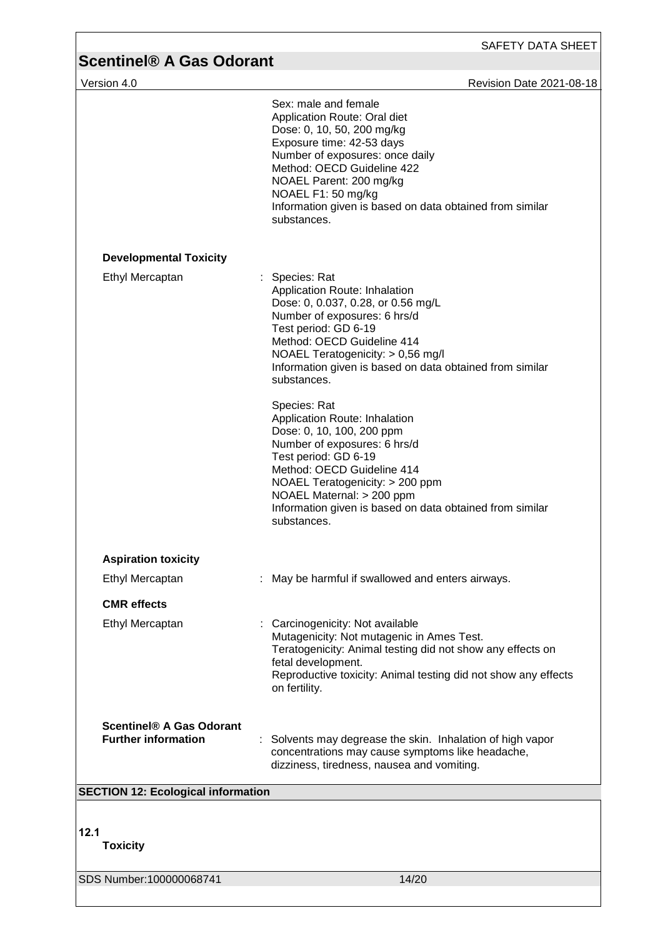| Version 4.0                                                   | <b>Revision Date 2021-08-18</b>                                                                                                                                                                                                                                                                             |
|---------------------------------------------------------------|-------------------------------------------------------------------------------------------------------------------------------------------------------------------------------------------------------------------------------------------------------------------------------------------------------------|
|                                                               | Sex: male and female                                                                                                                                                                                                                                                                                        |
|                                                               | Application Route: Oral diet<br>Dose: 0, 10, 50, 200 mg/kg<br>Exposure time: 42-53 days<br>Number of exposures: once daily<br>Method: OECD Guideline 422<br>NOAEL Parent: 200 mg/kg<br>NOAEL F1: 50 mg/kg<br>Information given is based on data obtained from similar<br>substances.                        |
| <b>Developmental Toxicity</b>                                 |                                                                                                                                                                                                                                                                                                             |
| Ethyl Mercaptan                                               | Species: Rat<br>Application Route: Inhalation<br>Dose: 0, 0.037, 0.28, or 0.56 mg/L<br>Number of exposures: 6 hrs/d<br>Test period: GD 6-19<br>Method: OECD Guideline 414<br>NOAEL Teratogenicity: > 0,56 mg/l<br>Information given is based on data obtained from similar<br>substances.                   |
|                                                               | Species: Rat<br>Application Route: Inhalation<br>Dose: 0, 10, 100, 200 ppm<br>Number of exposures: 6 hrs/d<br>Test period: GD 6-19<br>Method: OECD Guideline 414<br>NOAEL Teratogenicity: > 200 ppm<br>NOAEL Maternal: > 200 ppm<br>Information given is based on data obtained from similar<br>substances. |
| <b>Aspiration toxicity</b>                                    |                                                                                                                                                                                                                                                                                                             |
| Ethyl Mercaptan                                               | May be harmful if swallowed and enters airways.                                                                                                                                                                                                                                                             |
| <b>CMR</b> effects                                            |                                                                                                                                                                                                                                                                                                             |
| Ethyl Mercaptan                                               | : Carcinogenicity: Not available<br>Mutagenicity: Not mutagenic in Ames Test.<br>Teratogenicity: Animal testing did not show any effects on<br>fetal development.<br>Reproductive toxicity: Animal testing did not show any effects<br>on fertility.                                                        |
| <b>Scentinel® A Gas Odorant</b><br><b>Further information</b> | Solvents may degrease the skin. Inhalation of high vapor<br>concentrations may cause symptoms like headache,<br>dizziness, tiredness, nausea and vomiting.                                                                                                                                                  |
| <b>SECTION 12: Ecological information</b>                     |                                                                                                                                                                                                                                                                                                             |
| 12.1<br><b>Toxicity</b>                                       |                                                                                                                                                                                                                                                                                                             |

SDS Number:100000068741 14/20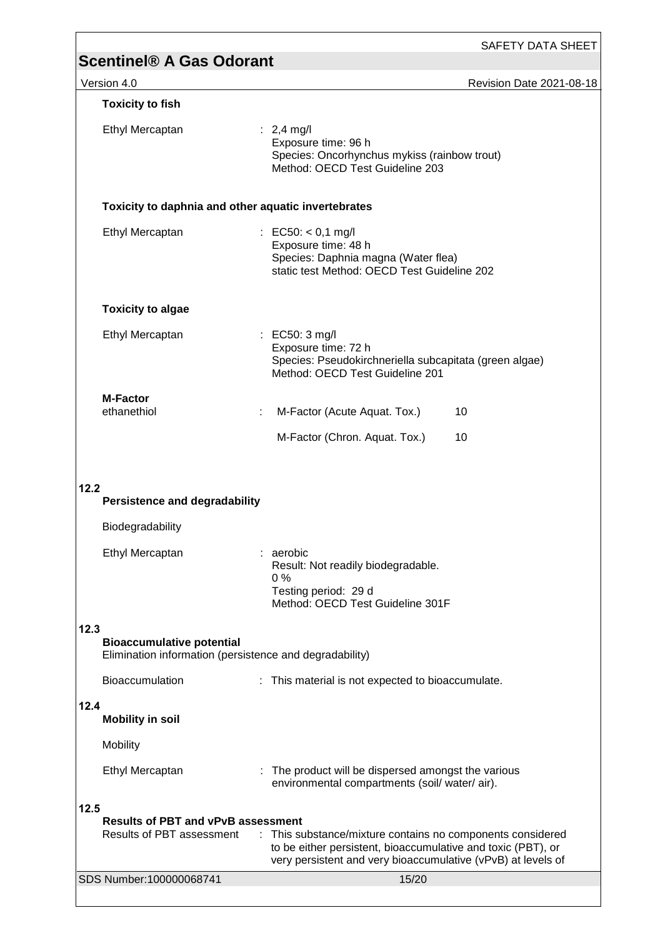|                                                                                | SAFETY DATA SHEET                                                                                                                                                                          |
|--------------------------------------------------------------------------------|--------------------------------------------------------------------------------------------------------------------------------------------------------------------------------------------|
| <b>Scentinel® A Gas Odorant</b>                                                |                                                                                                                                                                                            |
| Version 4.0                                                                    | Revision Date 2021-08-18                                                                                                                                                                   |
| <b>Toxicity to fish</b>                                                        |                                                                                                                                                                                            |
| Ethyl Mercaptan                                                                | : $2,4$ mg/l<br>Exposure time: 96 h<br>Species: Oncorhynchus mykiss (rainbow trout)<br>Method: OECD Test Guideline 203                                                                     |
|                                                                                | Toxicity to daphnia and other aquatic invertebrates                                                                                                                                        |
| Ethyl Mercaptan                                                                | : EC50: $<$ 0,1 mg/l<br>Exposure time: 48 h<br>Species: Daphnia magna (Water flea)<br>static test Method: OECD Test Guideline 202                                                          |
| <b>Toxicity to algae</b>                                                       |                                                                                                                                                                                            |
| Ethyl Mercaptan                                                                | $\therefore$ EC50: 3 mg/l<br>Exposure time: 72 h<br>Species: Pseudokirchneriella subcapitata (green algae)<br>Method: OECD Test Guideline 201                                              |
| <b>M-Factor</b>                                                                |                                                                                                                                                                                            |
| ethanethiol                                                                    | M-Factor (Acute Aquat. Tox.)<br>10<br>÷<br>M-Factor (Chron. Aquat. Tox.)<br>10                                                                                                             |
|                                                                                |                                                                                                                                                                                            |
| 12.2<br><b>Persistence and degradability</b>                                   |                                                                                                                                                                                            |
| Biodegradability                                                               |                                                                                                                                                                                            |
| Ethyl Mercaptan                                                                | : aerobic<br>Result: Not readily biodegradable.<br>$0\%$<br>Testing period: 29 d<br>Method: OECD Test Guideline 301F                                                                       |
| 12.3                                                                           |                                                                                                                                                                                            |
| <b>Bioaccumulative potential</b>                                               | Elimination information (persistence and degradability)                                                                                                                                    |
| Bioaccumulation                                                                | : This material is not expected to bioaccumulate.                                                                                                                                          |
| 12.4<br><b>Mobility in soil</b>                                                |                                                                                                                                                                                            |
| Mobility                                                                       |                                                                                                                                                                                            |
| Ethyl Mercaptan                                                                | : The product will be dispersed amongst the various<br>environmental compartments (soil/water/air).                                                                                        |
| 12.5<br><b>Results of PBT and vPvB assessment</b><br>Results of PBT assessment | : This substance/mixture contains no components considered<br>to be either persistent, bioaccumulative and toxic (PBT), or<br>very persistent and very bioaccumulative (vPvB) at levels of |
| SDS Number:100000068741                                                        | 15/20                                                                                                                                                                                      |
|                                                                                |                                                                                                                                                                                            |

 $\overline{\phantom{a}}$ 

 $\overline{1}$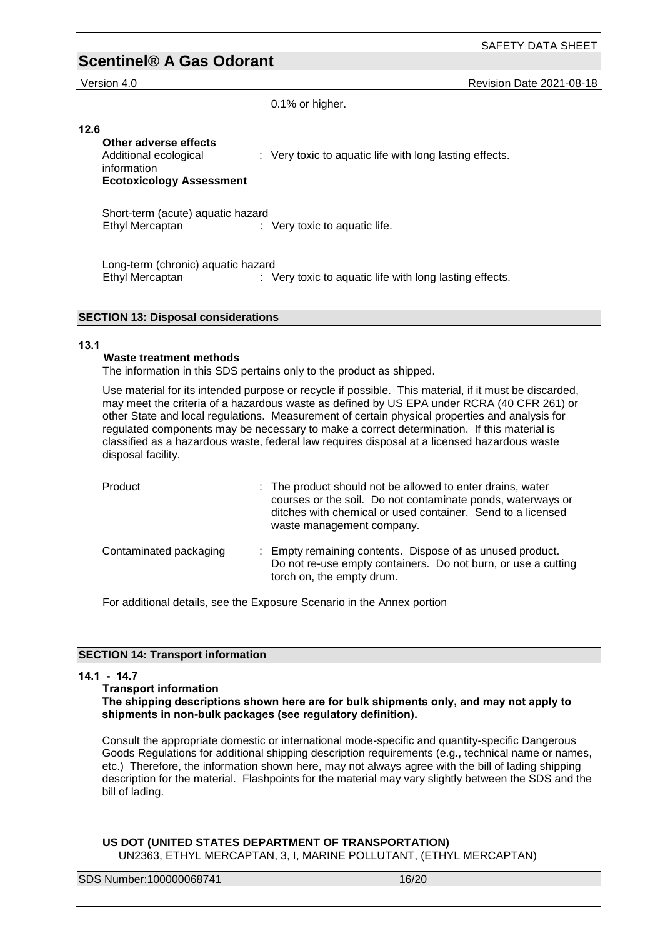Version 4.0 Revision Date 2021-08-18

| 0.1% or higher. |  |
|-----------------|--|
|                 |  |

| 12.6                                       |                                                         |
|--------------------------------------------|---------------------------------------------------------|
| Other adverse effects                      |                                                         |
| Additional ecological                      | : Very toxic to aquatic life with long lasting effects. |
| information                                |                                                         |
| <b>Ecotoxicology Assessment</b>            |                                                         |
| Short-term (acute) aquatic hazard          |                                                         |
| Ethyl Mercaptan                            | $\therefore$ Very toxic to aquatic life.                |
|                                            |                                                         |
| Long-term (chronic) aquatic hazard         |                                                         |
| Ethyl Mercaptan                            | : Very toxic to aquatic life with long lasting effects. |
|                                            |                                                         |
| <b>SECTION 13: Disposal considerations</b> |                                                         |
|                                            |                                                         |
|                                            |                                                         |

## **13.1**

## **Waste treatment methods**

The information in this SDS pertains only to the product as shipped.

Use material for its intended purpose or recycle if possible. This material, if it must be discarded, may meet the criteria of a hazardous waste as defined by US EPA under RCRA (40 CFR 261) or other State and local regulations. Measurement of certain physical properties and analysis for regulated components may be necessary to make a correct determination. If this material is classified as a hazardous waste, federal law requires disposal at a licensed hazardous waste disposal facility.

| Product                | : The product should not be allowed to enter drains, water<br>courses or the soil. Do not contaminate ponds, waterways or<br>ditches with chemical or used container. Send to a licensed<br>waste management company. |
|------------------------|-----------------------------------------------------------------------------------------------------------------------------------------------------------------------------------------------------------------------|
| Contaminated packaging | : Empty remaining contents. Dispose of as unused product.<br>Do not re-use empty containers. Do not burn, or use a cutting<br>torch on, the empty drum.                                                               |

For additional details, see the Exposure Scenario in the Annex portion

## **SECTION 14: Transport information**

## **14.1 - 14.7**

## **Transport information**

### **The shipping descriptions shown here are for bulk shipments only, and may not apply to shipments in non-bulk packages (see regulatory definition).**

Consult the appropriate domestic or international mode-specific and quantity-specific Dangerous Goods Regulations for additional shipping description requirements (e.g., technical name or names, etc.) Therefore, the information shown here, may not always agree with the bill of lading shipping description for the material. Flashpoints for the material may vary slightly between the SDS and the bill of lading.

## **US DOT (UNITED STATES DEPARTMENT OF TRANSPORTATION)** UN2363, ETHYL MERCAPTAN, 3, I, MARINE POLLUTANT, (ETHYL MERCAPTAN)

SDS Number:100000068741 16/20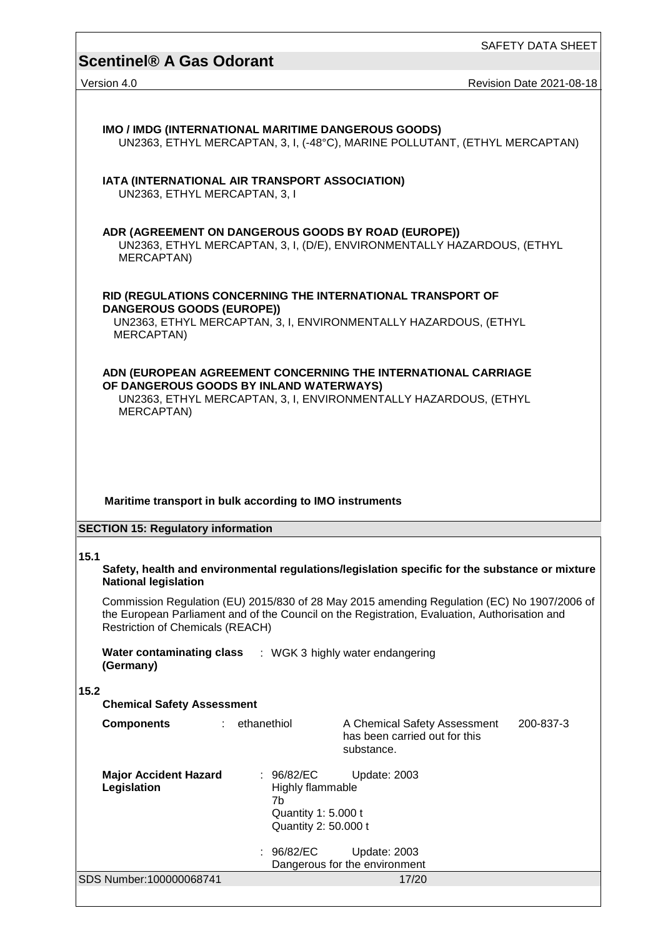SAFETY DATA SHEET

# **Scentinel® A Gas Odorant**

| Version 4.0                                                                     |                                                   |                                                                                                                                                                                              | Revision Date 2021-08-18 |
|---------------------------------------------------------------------------------|---------------------------------------------------|----------------------------------------------------------------------------------------------------------------------------------------------------------------------------------------------|--------------------------|
|                                                                                 |                                                   |                                                                                                                                                                                              |                          |
| IMO / IMDG (INTERNATIONAL MARITIME DANGEROUS GOODS)                             |                                                   | UN2363, ETHYL MERCAPTAN, 3, I, (-48°C), MARINE POLLUTANT, (ETHYL MERCAPTAN)                                                                                                                  |                          |
| IATA (INTERNATIONAL AIR TRANSPORT ASSOCIATION)<br>UN2363, ETHYL MERCAPTAN, 3, I |                                                   |                                                                                                                                                                                              |                          |
| ADR (AGREEMENT ON DANGEROUS GOODS BY ROAD (EUROPE))<br>MERCAPTAN)               |                                                   | UN2363, ETHYL MERCAPTAN, 3, I, (D/E), ENVIRONMENTALLY HAZARDOUS, (ETHYL                                                                                                                      |                          |
| <b>DANGEROUS GOODS (EUROPE))</b>                                                |                                                   | RID (REGULATIONS CONCERNING THE INTERNATIONAL TRANSPORT OF                                                                                                                                   |                          |
| MERCAPTAN)                                                                      |                                                   | UN2363, ETHYL MERCAPTAN, 3, I, ENVIRONMENTALLY HAZARDOUS, (ETHYL                                                                                                                             |                          |
|                                                                                 |                                                   | ADN (EUROPEAN AGREEMENT CONCERNING THE INTERNATIONAL CARRIAGE                                                                                                                                |                          |
| OF DANGEROUS GOODS BY INLAND WATERWAYS)<br>MERCAPTAN)                           |                                                   | UN2363, ETHYL MERCAPTAN, 3, I, ENVIRONMENTALLY HAZARDOUS, (ETHYL                                                                                                                             |                          |
|                                                                                 |                                                   |                                                                                                                                                                                              |                          |
|                                                                                 |                                                   |                                                                                                                                                                                              |                          |
| Maritime transport in bulk according to IMO instruments                         |                                                   |                                                                                                                                                                                              |                          |
|                                                                                 |                                                   |                                                                                                                                                                                              |                          |
| <b>SECTION 15: Regulatory information</b>                                       |                                                   |                                                                                                                                                                                              |                          |
| 15.1<br><b>National legislation</b>                                             |                                                   | Safety, health and environmental regulations/legislation specific for the substance or mixture                                                                                               |                          |
| <b>Restriction of Chemicals (REACH)</b>                                         |                                                   | Commission Regulation (EU) 2015/830 of 28 May 2015 amending Regulation (EC) No 1907/2006 of<br>the European Parliament and of the Council on the Registration, Evaluation, Authorisation and |                          |
| Water contaminating class : WGK 3 highly water endangering<br>(Germany)         |                                                   |                                                                                                                                                                                              |                          |
| 15.2<br><b>Chemical Safety Assessment</b>                                       |                                                   |                                                                                                                                                                                              |                          |
| <b>Components</b><br>t.                                                         | ethanethiol                                       | A Chemical Safety Assessment<br>has been carried out for this<br>substance.                                                                                                                  | 200-837-3                |
| <b>Major Accident Hazard</b><br>Legislation                                     | : $96/82/EC$<br><b>Highly flammable</b>           | Update: 2003                                                                                                                                                                                 |                          |
|                                                                                 | 7b<br>Quantity 1: 5.000 t<br>Quantity 2: 50.000 t |                                                                                                                                                                                              |                          |
|                                                                                 | 96/82/EC                                          | Update: 2003                                                                                                                                                                                 |                          |

Dangerous for the environment

SDS Number:100000068741 17/20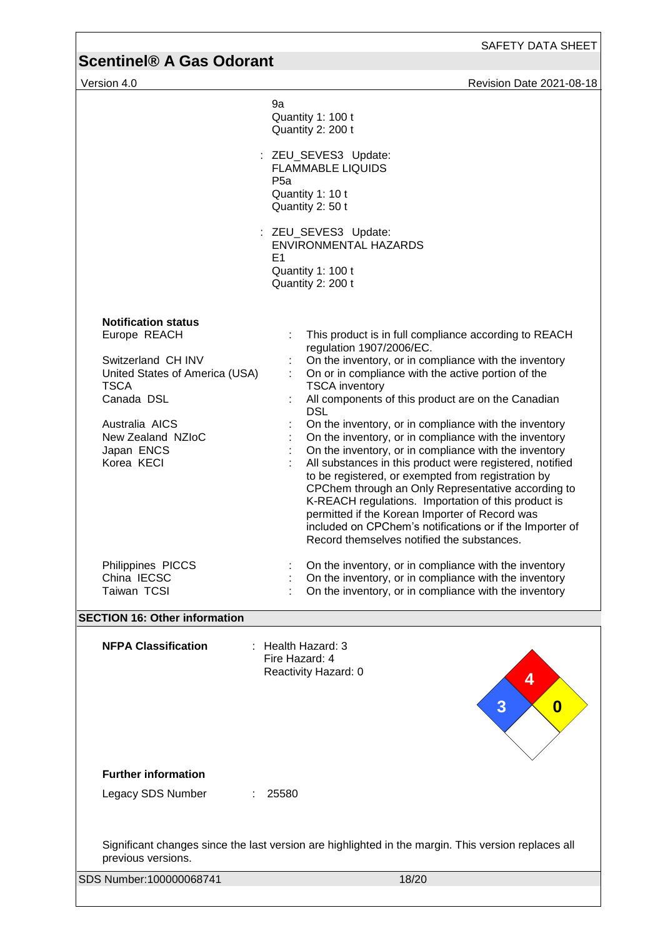Version 4.0 **Version 4.0 Version 4.0 Revision Date 2021-08-18** 

| 9a<br>Quantity 1: 100 t<br>Quantity 2: 200 t                                                                                                                                                       |                                                                                                                                                                                                                                                                                                                                                                                                                                                                                                                                                                                                                                                                                                                                                                                                                                                                     |  |  |  |  |
|----------------------------------------------------------------------------------------------------------------------------------------------------------------------------------------------------|---------------------------------------------------------------------------------------------------------------------------------------------------------------------------------------------------------------------------------------------------------------------------------------------------------------------------------------------------------------------------------------------------------------------------------------------------------------------------------------------------------------------------------------------------------------------------------------------------------------------------------------------------------------------------------------------------------------------------------------------------------------------------------------------------------------------------------------------------------------------|--|--|--|--|
|                                                                                                                                                                                                    | : ZEU_SEVES3 Update:<br><b>FLAMMABLE LIQUIDS</b><br>P <sub>5a</sub><br>Quantity 1: 10 t<br>Quantity 2: 50 t                                                                                                                                                                                                                                                                                                                                                                                                                                                                                                                                                                                                                                                                                                                                                         |  |  |  |  |
|                                                                                                                                                                                                    | : ZEU_SEVES3 Update:<br><b>ENVIRONMENTAL HAZARDS</b><br>E <sub>1</sub><br>Quantity 1: 100 t<br>Quantity 2: 200 t                                                                                                                                                                                                                                                                                                                                                                                                                                                                                                                                                                                                                                                                                                                                                    |  |  |  |  |
| <b>Notification status</b><br>Europe REACH<br>Switzerland CH INV<br>United States of America (USA)<br><b>TSCA</b><br>Canada DSL<br>Australia AICS<br>New Zealand NZIoC<br>Japan ENCS<br>Korea KECI | This product is in full compliance according to REACH<br>regulation 1907/2006/EC.<br>On the inventory, or in compliance with the inventory<br>On or in compliance with the active portion of the<br><b>TSCA</b> inventory<br>All components of this product are on the Canadian<br><b>DSL</b><br>On the inventory, or in compliance with the inventory<br>On the inventory, or in compliance with the inventory<br>On the inventory, or in compliance with the inventory<br>All substances in this product were registered, notified<br>to be registered, or exempted from registration by<br>CPChem through an Only Representative according to<br>K-REACH regulations. Importation of this product is<br>permitted if the Korean Importer of Record was<br>included on CPChem's notifications or if the Importer of<br>Record themselves notified the substances. |  |  |  |  |
| Philippines PICCS<br>China IECSC<br>Taiwan TCSI                                                                                                                                                    | On the inventory, or in compliance with the inventory<br>On the inventory, or in compliance with the inventory<br>On the inventory, or in compliance with the inventory                                                                                                                                                                                                                                                                                                                                                                                                                                                                                                                                                                                                                                                                                             |  |  |  |  |
| <b>SECTION 16: Other information</b>                                                                                                                                                               |                                                                                                                                                                                                                                                                                                                                                                                                                                                                                                                                                                                                                                                                                                                                                                                                                                                                     |  |  |  |  |
| <b>NFPA Classification</b>                                                                                                                                                                         | $:$ Health Hazard: 3<br>Fire Hazard: 4<br>Reactivity Hazard: 0<br>4<br>3<br>0                                                                                                                                                                                                                                                                                                                                                                                                                                                                                                                                                                                                                                                                                                                                                                                       |  |  |  |  |
| <b>Further information</b>                                                                                                                                                                         |                                                                                                                                                                                                                                                                                                                                                                                                                                                                                                                                                                                                                                                                                                                                                                                                                                                                     |  |  |  |  |
| Legacy SDS Number<br>÷.                                                                                                                                                                            | 25580                                                                                                                                                                                                                                                                                                                                                                                                                                                                                                                                                                                                                                                                                                                                                                                                                                                               |  |  |  |  |
| Significant changes since the last version are highlighted in the margin. This version replaces all<br>previous versions.                                                                          |                                                                                                                                                                                                                                                                                                                                                                                                                                                                                                                                                                                                                                                                                                                                                                                                                                                                     |  |  |  |  |
| SDS Number:100000068741                                                                                                                                                                            | 18/20                                                                                                                                                                                                                                                                                                                                                                                                                                                                                                                                                                                                                                                                                                                                                                                                                                                               |  |  |  |  |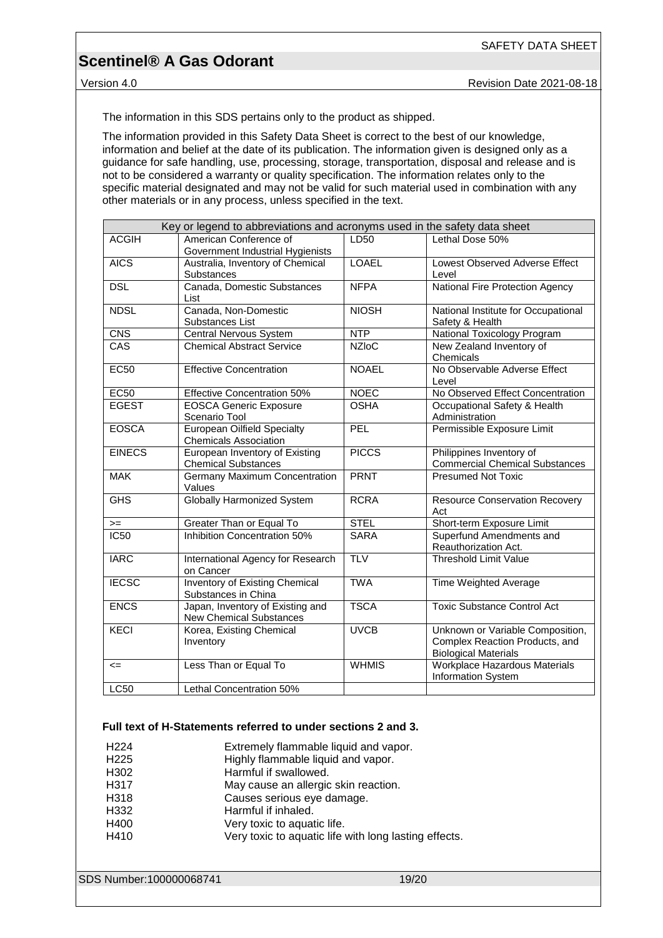Version 4.0 Revision Date 2021-08-18

The information in this SDS pertains only to the product as shipped.

The information provided in this Safety Data Sheet is correct to the best of our knowledge, information and belief at the date of its publication. The information given is designed only as a guidance for safe handling, use, processing, storage, transportation, disposal and release and is not to be considered a warranty or quality specification. The information relates only to the specific material designated and may not be valid for such material used in combination with any other materials or in any process, unless specified in the text.

| Key or legend to abbreviations and acronyms used in the safety data sheet |                                                                    |              |                                                                                                   |
|---------------------------------------------------------------------------|--------------------------------------------------------------------|--------------|---------------------------------------------------------------------------------------------------|
| <b>ACGIH</b>                                                              | American Conference of<br>Government Industrial Hygienists         | LD50         | Lethal Dose 50%                                                                                   |
| <b>AICS</b>                                                               | Australia, Inventory of Chemical<br>Substances                     | <b>LOAEL</b> | Lowest Observed Adverse Effect<br>Level                                                           |
| <b>DSL</b>                                                                | Canada, Domestic Substances<br>List                                | <b>NFPA</b>  | National Fire Protection Agency                                                                   |
| <b>NDSL</b>                                                               | Canada, Non-Domestic<br>Substances List                            | <b>NIOSH</b> | National Institute for Occupational<br>Safety & Health                                            |
| CNS                                                                       | <b>Central Nervous System</b>                                      | <b>NTP</b>   | National Toxicology Program                                                                       |
| <b>CAS</b>                                                                | <b>Chemical Abstract Service</b>                                   | <b>NZIoC</b> | New Zealand Inventory of<br>Chemicals                                                             |
| <b>EC50</b>                                                               | <b>Effective Concentration</b>                                     | <b>NOAEL</b> | No Observable Adverse Effect<br>Level                                                             |
| <b>EC50</b>                                                               | <b>Effective Concentration 50%</b>                                 | <b>NOEC</b>  | No Observed Effect Concentration                                                                  |
| <b>EGEST</b>                                                              | <b>EOSCA Generic Exposure</b><br>Scenario Tool                     | <b>OSHA</b>  | Occupational Safety & Health<br>Administration                                                    |
| <b>EOSCA</b>                                                              | European Oilfield Specialty<br><b>Chemicals Association</b>        | PEL          | Permissible Exposure Limit                                                                        |
| <b>EINECS</b>                                                             | European Inventory of Existing<br><b>Chemical Substances</b>       | <b>PICCS</b> | Philippines Inventory of<br><b>Commercial Chemical Substances</b>                                 |
| <b>MAK</b>                                                                | Germany Maximum Concentration<br>Values                            | <b>PRNT</b>  | <b>Presumed Not Toxic</b>                                                                         |
| <b>GHS</b>                                                                | <b>Globally Harmonized System</b>                                  | <b>RCRA</b>  | <b>Resource Conservation Recovery</b><br>Act                                                      |
| $>=$                                                                      | Greater Than or Equal To                                           | <b>STEL</b>  | Short-term Exposure Limit                                                                         |
| IC50                                                                      | Inhibition Concentration 50%                                       | <b>SARA</b>  | Superfund Amendments and<br>Reauthorization Act.                                                  |
| <b>IARC</b>                                                               | International Agency for Research<br>on Cancer                     | <b>TLV</b>   | <b>Threshold Limit Value</b>                                                                      |
| <b>IECSC</b>                                                              | <b>Inventory of Existing Chemical</b><br>Substances in China       | <b>TWA</b>   | Time Weighted Average                                                                             |
| <b>ENCS</b>                                                               | Japan, Inventory of Existing and<br><b>New Chemical Substances</b> | <b>TSCA</b>  | <b>Toxic Substance Control Act</b>                                                                |
| <b>KECI</b>                                                               | Korea, Existing Chemical<br>Inventory                              | <b>UVCB</b>  | Unknown or Variable Composition,<br>Complex Reaction Products, and<br><b>Biological Materials</b> |
| $\leq$                                                                    | Less Than or Equal To                                              | <b>WHMIS</b> | Workplace Hazardous Materials<br>Information System                                               |
| <b>LC50</b>                                                               | Lethal Concentration 50%                                           |              |                                                                                                   |

## **Full text of H-Statements referred to under sections 2 and 3.**

| H225<br>Highly flammable liquid and vapor.<br>H302<br>Harmful if swallowed. |  |
|-----------------------------------------------------------------------------|--|
|                                                                             |  |
|                                                                             |  |
| H317<br>May cause an allergic skin reaction.                                |  |
| H318<br>Causes serious eye damage.                                          |  |
| H332<br>Harmful if inhaled.                                                 |  |
| H400<br>Very toxic to aquatic life.                                         |  |
| H410<br>Very toxic to aquatic life with long lasting effects.               |  |

SDS Number:100000068741 19/20